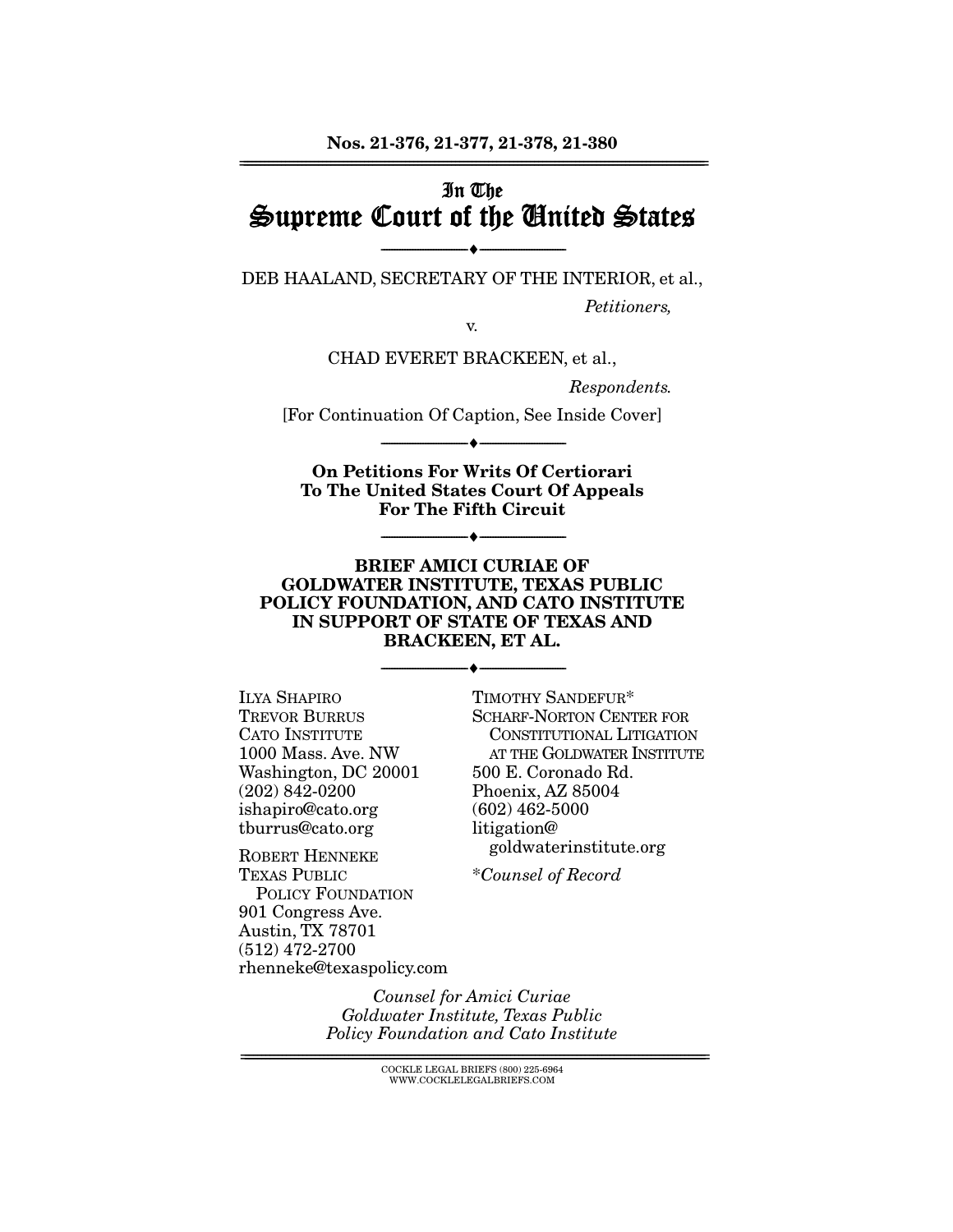# In The Supreme Court of the United States

--------------------------------- ♦ --------------------------------- DEB HAALAND, SECRETARY OF THE INTERIOR, et al.,

Petitioners,

v. CHAD EVERET BRACKEEN, et al.,

Respondents.

[For Continuation Of Caption, See Inside Cover] --------------------------------- ♦ ---------------------------------

**On Petitions For Writs Of Certiorari To The United States Court Of Appeals For The Fifth Circuit** 

--------------------------------- ♦ ---------------------------------

#### **BRIEF AMICI CURIAE OF GOLDWATER INSTITUTE, TEXAS PUBLIC POLICY FOUNDATION, AND CATO INSTITUTE IN SUPPORT OF STATE OF TEXAS AND BRACKEEN, ET AL.**

--------------------------------- ♦ ---------------------------------

ILYA SHAPIRO TREVOR BURRUS CATO INSTITUTE 1000 Mass. Ave. NW Washington, DC 20001 (202) 842-0200 ishapiro@cato.org tburrus@cato.org

ROBERT HENNEKE TEXAS PUBLIC POLICY FOUNDATION 901 Congress Ave. Austin, TX 78701 (512) 472-2700 rhenneke@texaspolicy.com

TIMOTHY SANDEFUR\* SCHARF-NORTON CENTER FOR CONSTITUTIONAL LITIGATION AT THE GOLDWATER INSTITUTE 500 E. Coronado Rd. Phoenix, AZ 85004 (602) 462-5000 litigation@ goldwaterinstitute.org

\*Counsel of Record

Counsel for Amici Curiae Goldwater Institute, Texas Public Policy Foundation and Cato Institute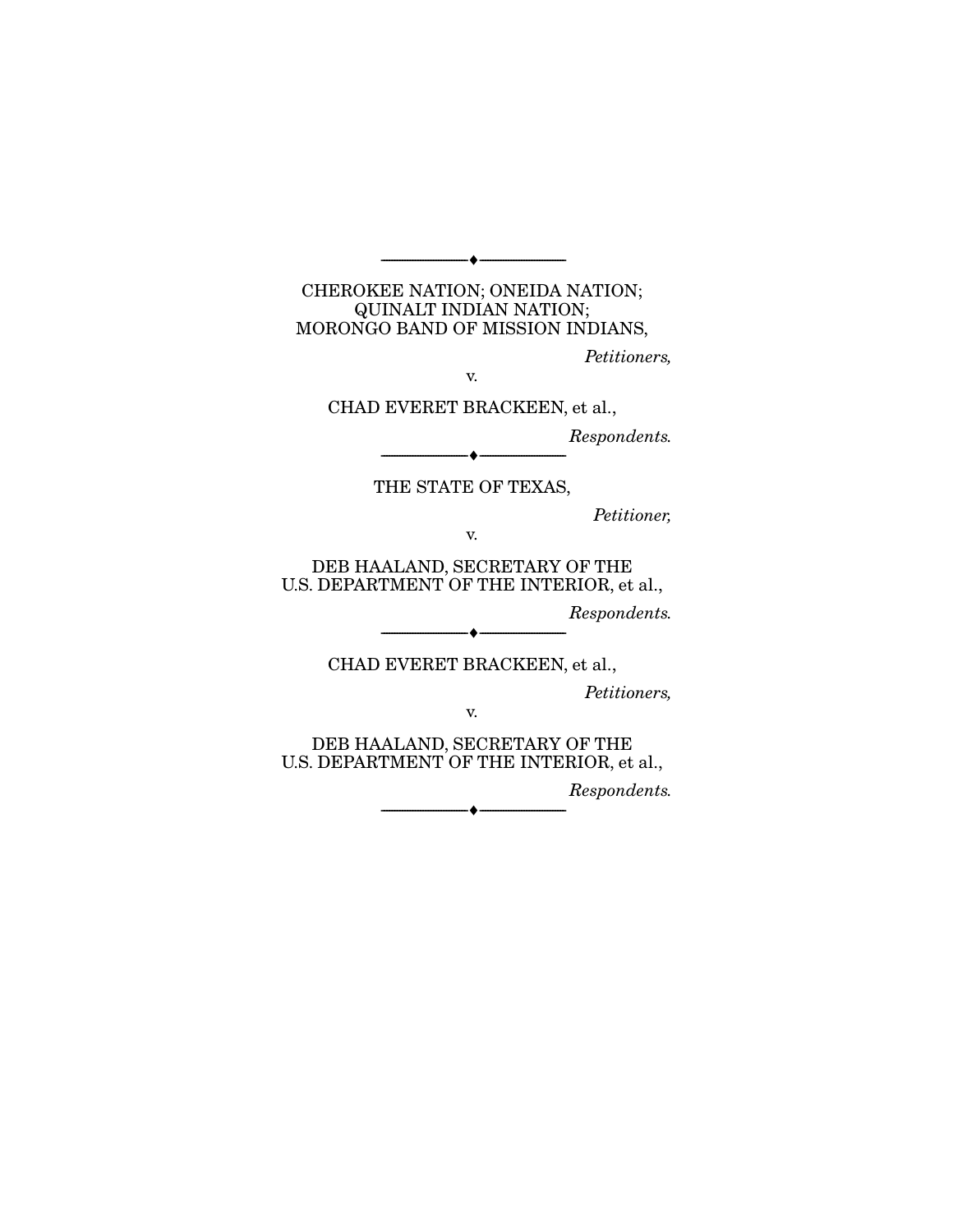#### CHEROKEE NATION; ONEIDA NATION; QUINALT INDIAN NATION; MORONGO BAND OF MISSION INDIANS,

--------------------------------- ♦ ---------------------------------

Petitioners,

v.

CHAD EVERET BRACKEEN, et al.,

Respondents.

THE STATE OF TEXAS,

 $-\bullet-\cdot$ 

Petitioner,

v.

DEB HAALAND, SECRETARY OF THE U.S. DEPARTMENT OF THE INTERIOR, et al.,

Respondents.

CHAD EVERET BRACKEEN, et al.,

v.

--------------------------------- ♦ ---------------------------------

Petitioners,

DEB HAALAND, SECRETARY OF THE U.S. DEPARTMENT OF THE INTERIOR, et al.,

Respondents.

--------------------------------- ♦ ---------------------------------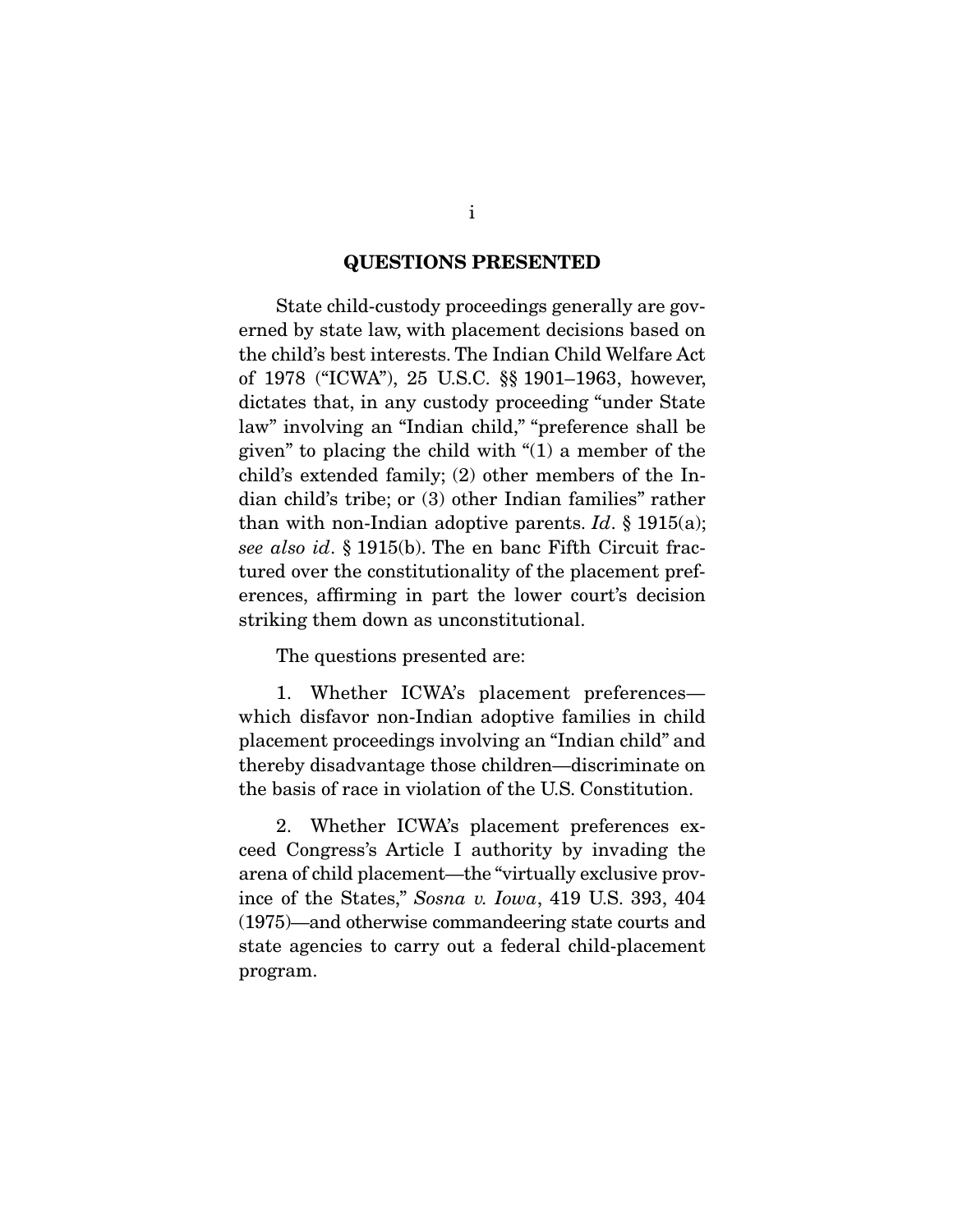#### **QUESTIONS PRESENTED**

 State child-custody proceedings generally are governed by state law, with placement decisions based on the child's best interests. The Indian Child Welfare Act of 1978 ("ICWA"), 25 U.S.C. §§ 1901–1963, however, dictates that, in any custody proceeding "under State law" involving an "Indian child," "preference shall be given" to placing the child with "(1) a member of the child's extended family; (2) other members of the Indian child's tribe; or (3) other Indian families" rather than with non-Indian adoptive parents. Id.  $\S$  1915(a); see also id. § 1915(b). The en banc Fifth Circuit fractured over the constitutionality of the placement preferences, affirming in part the lower court's decision striking them down as unconstitutional.

The questions presented are:

 1. Whether ICWA's placement preferences which disfavor non-Indian adoptive families in child placement proceedings involving an "Indian child" and thereby disadvantage those children—discriminate on the basis of race in violation of the U.S. Constitution.

 2. Whether ICWA's placement preferences exceed Congress's Article I authority by invading the arena of child placement—the "virtually exclusive province of the States," Sosna v. Iowa, 419 U.S. 393, 404 (1975)—and otherwise commandeering state courts and state agencies to carry out a federal child-placement program.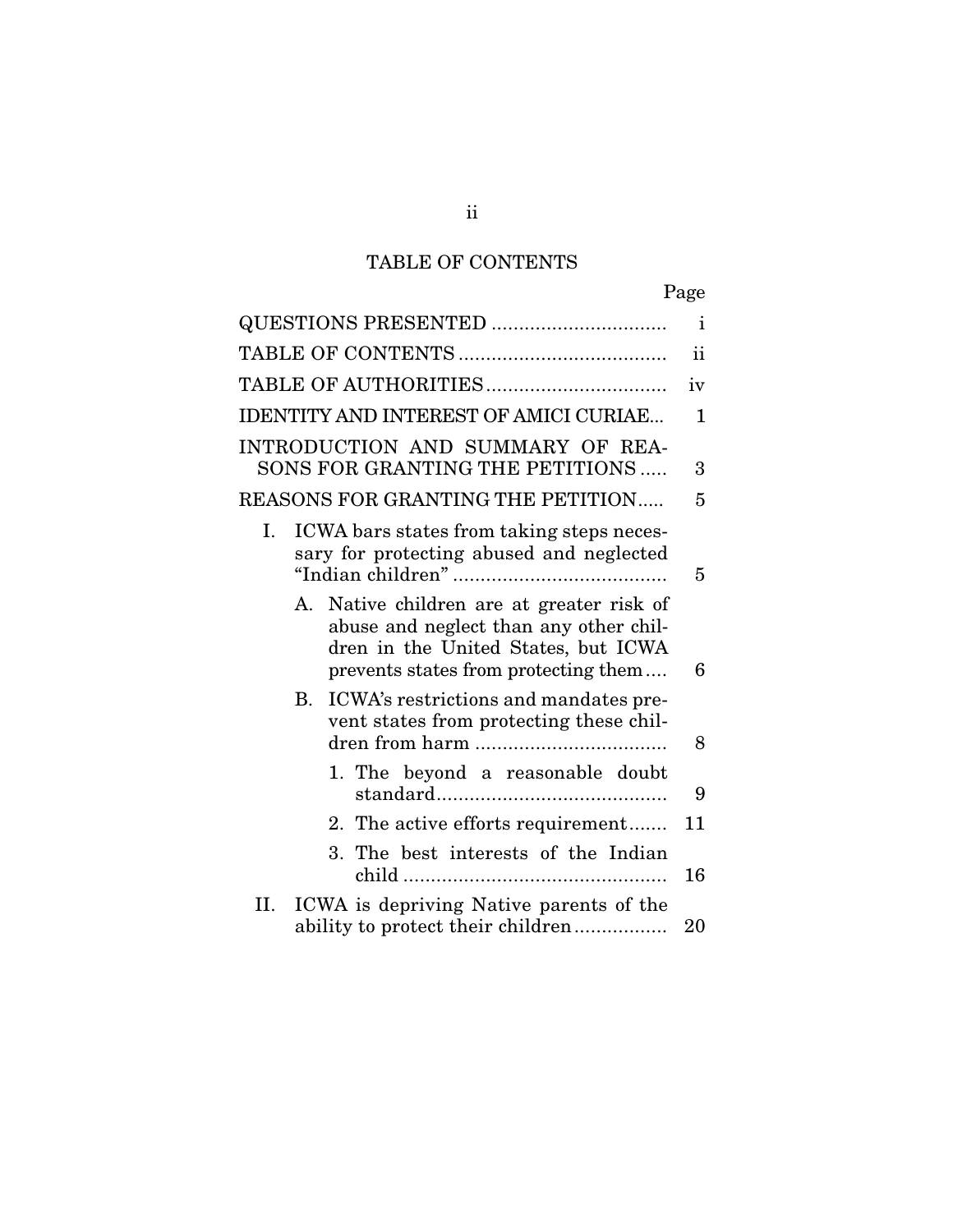# TABLE OF CONTENTS

| ι,<br>Page |
|------------|
|------------|

| <b>QUESTIONS PRESENTED </b>                                                                                                                                           | $\mathbf{i}$  |
|-----------------------------------------------------------------------------------------------------------------------------------------------------------------------|---------------|
|                                                                                                                                                                       | $\mathbf{ii}$ |
|                                                                                                                                                                       | iv            |
| <b>IDENTITY AND INTEREST OF AMICI CURIAE</b>                                                                                                                          | 1             |
| INTRODUCTION AND SUMMARY OF REA-<br>SONS FOR GRANTING THE PETITIONS                                                                                                   | 3             |
| REASONS FOR GRANTING THE PETITION                                                                                                                                     | 5             |
| Ι.<br>ICWA bars states from taking steps neces-<br>sary for protecting abused and neglected                                                                           | 5             |
| Native children are at greater risk of<br>A.<br>abuse and neglect than any other chil-<br>dren in the United States, but ICWA<br>prevents states from protecting them | 6             |
| ICWA's restrictions and mandates pre-<br>$\mathbf{B}$<br>vent states from protecting these chil-                                                                      | 8             |
| 1. The beyond a reasonable doubt                                                                                                                                      | 9             |
| 2. The active efforts requirement                                                                                                                                     | 11            |
| 3. The best interests of the Indian                                                                                                                                   | 16            |
| ICWA is depriving Native parents of the<br>II.<br>ability to protect their children                                                                                   | 20            |

ii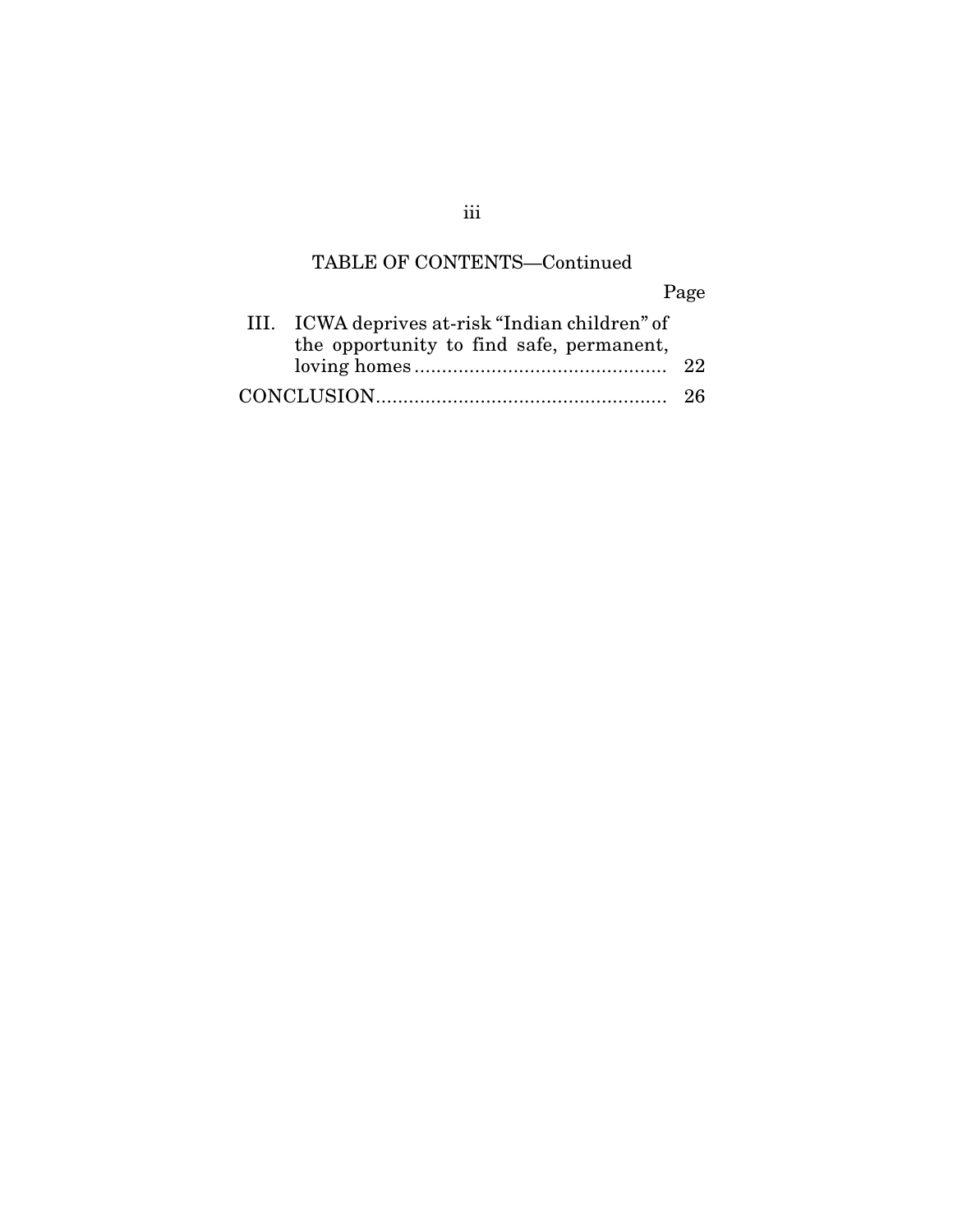# TABLE OF CONTENTS—Continued

Page

| III. ICWA deprives at-risk "Indian children" of |  |
|-------------------------------------------------|--|
| the opportunity to find safe, permanent,        |  |
|                                                 |  |
|                                                 |  |

iii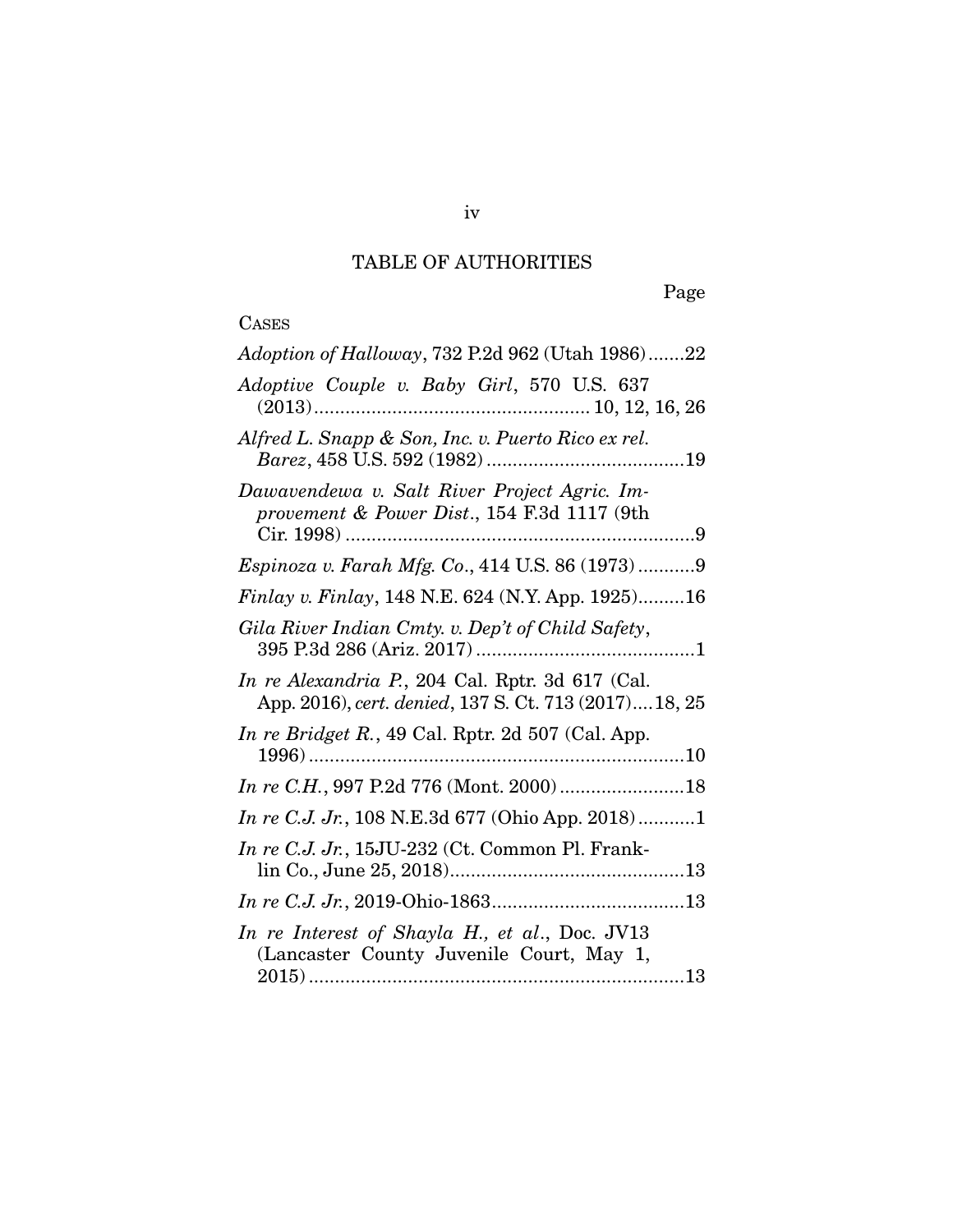# TABLE OF AUTHORITIES

# CASES

| Adoption of Halloway, 732 P.2d 962 (Utah 1986)22                                                           |
|------------------------------------------------------------------------------------------------------------|
| Adoptive Couple v. Baby Girl, 570 U.S. 637                                                                 |
| Alfred L. Snapp & Son, Inc. v. Puerto Rico ex rel.                                                         |
| Dawavendewa v. Salt River Project Agric. Im-<br>provement & Power Dist., 154 F.3d 1117 (9th                |
| Espinoza v. Farah Mfg. Co., 414 U.S. 86 (1973)9                                                            |
| Finlay v. Finlay, 148 N.E. 624 (N.Y. App. 1925)16                                                          |
| Gila River Indian Cmty. v. Dep't of Child Safety,                                                          |
| In re Alexandria P., 204 Cal. Rptr. 3d 617 (Cal.<br>App. 2016), cert. denied, 137 S. Ct. 713 (2017) 18, 25 |
| In re Bridget R., 49 Cal. Rptr. 2d 507 (Cal. App.                                                          |
|                                                                                                            |
| <i>In re C.J. Jr.</i> , 108 N.E.3d 677 (Ohio App. 2018)1                                                   |
| In re C.J. Jr., 15JU-232 (Ct. Common Pl. Frank-                                                            |
|                                                                                                            |
| In re Interest of Shayla H., et al., Doc. JV13<br>(Lancaster County Juvenile Court, May 1,                 |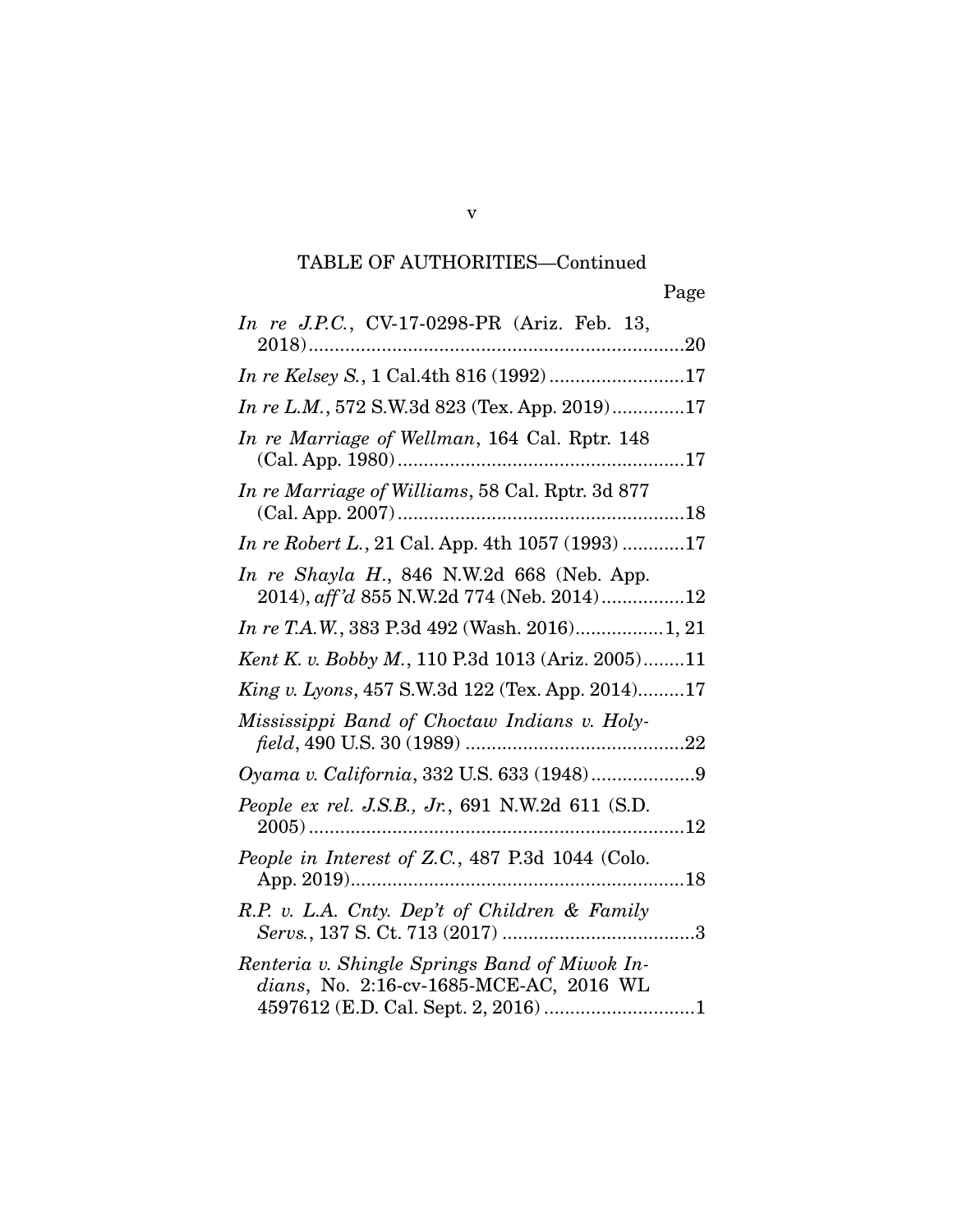v

| In re J.P.C., CV-17-0298-PR (Ariz. Feb. 13,                                              |
|------------------------------------------------------------------------------------------|
| In re Kelsey S., 1 Cal.4th 816 (1992)17                                                  |
| In re L.M., 572 S.W.3d 823 (Tex. App. 2019)17                                            |
| In re Marriage of Wellman, 164 Cal. Rptr. 148                                            |
| In re Marriage of Williams, 58 Cal. Rptr. 3d 877                                         |
| In re Robert L., 21 Cal. App. 4th 1057 (1993) 17                                         |
| In re Shayla H., 846 N.W.2d 668 (Neb. App.<br>2014), aff'd 855 N.W.2d 774 (Neb. 2014)12  |
| In re T.A.W., 383 P.3d 492 (Wash. 2016) 1, 21                                            |
| Kent K. v. Bobby M., 110 P.3d 1013 (Ariz. 2005)11                                        |
| <i>King v. Lyons</i> , 457 S.W.3d 122 (Tex. App. 2014)17                                 |
| Mississippi Band of Choctaw Indians v. Holy-                                             |
|                                                                                          |
| People ex rel. J.S.B., Jr., 691 N.W.2d 611 (S.D.                                         |
| People in Interest of Z.C., 487 P.3d 1044 (Colo.                                         |
| R.P. v. L.A. Cnty. Dep't of Children & Family                                            |
| Renteria v. Shingle Springs Band of Miwok In-<br>dians, No. 2:16-cv-1685-MCE-AC, 2016 WL |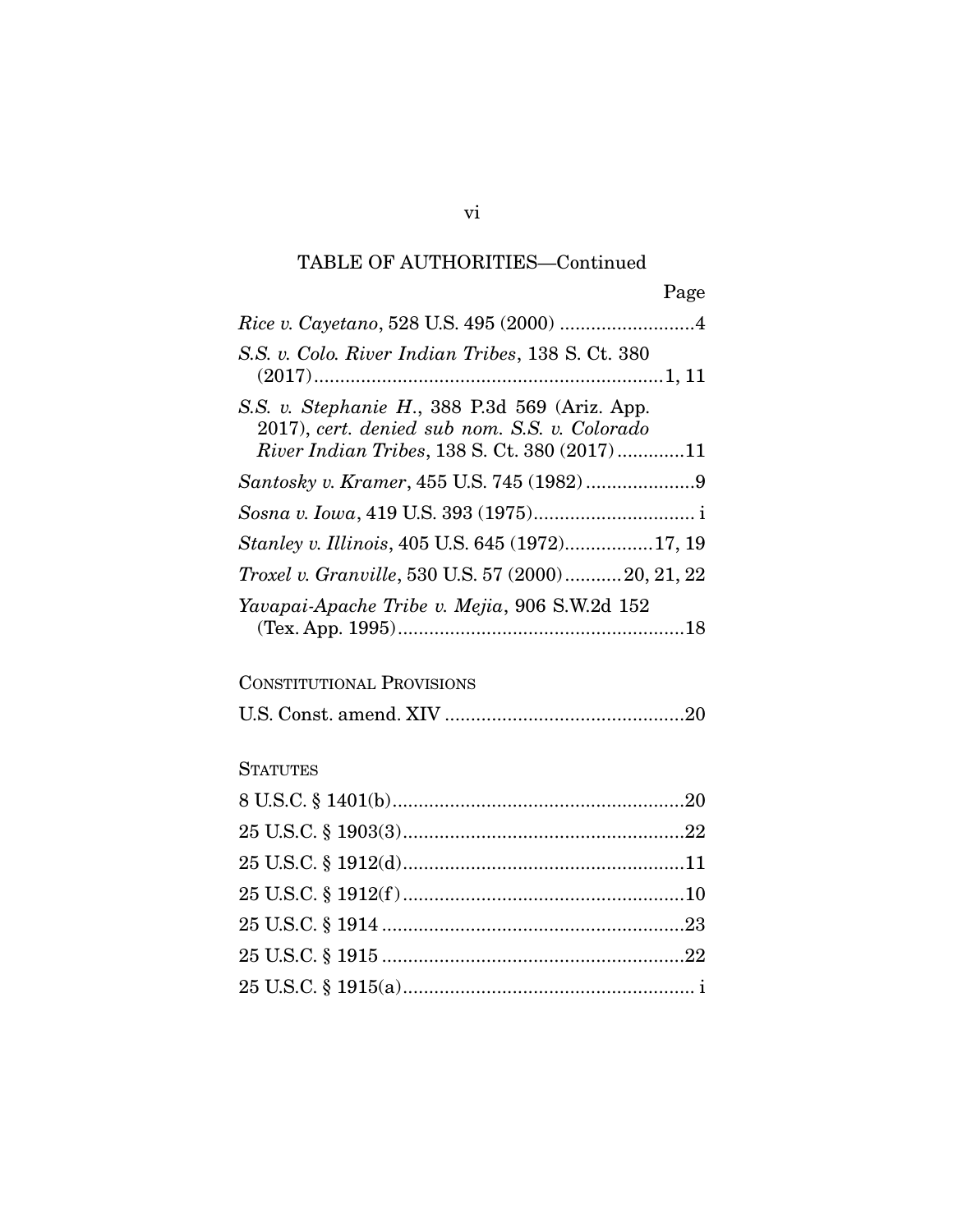Page

| S.S. v. Colo. River Indian Tribes, 138 S. Ct. 380                                                                                                      |
|--------------------------------------------------------------------------------------------------------------------------------------------------------|
| S.S. v. Stephanie H., 388 P.3d 569 (Ariz. App.<br>2017), cert. denied sub nom. S.S. v. Colorado<br><i>River Indian Tribes, 138 S. Ct. 380 (2017)11</i> |
| Santosky v. Kramer, 455 U.S. 745 (1982)9                                                                                                               |
|                                                                                                                                                        |
| Stanley v. Illinois, 405 U.S. 645 (1972)17, 19                                                                                                         |
| <i>Troxel v. Granville,</i> 530 U.S. 57 (2000)20, 21, 22                                                                                               |
| Yavapai-Apache Tribe v. Mejia, 906 S.W.2d 152                                                                                                          |

### CONSTITUTIONAL PROVISIONS

|--|--|

### **STATUTES**

vi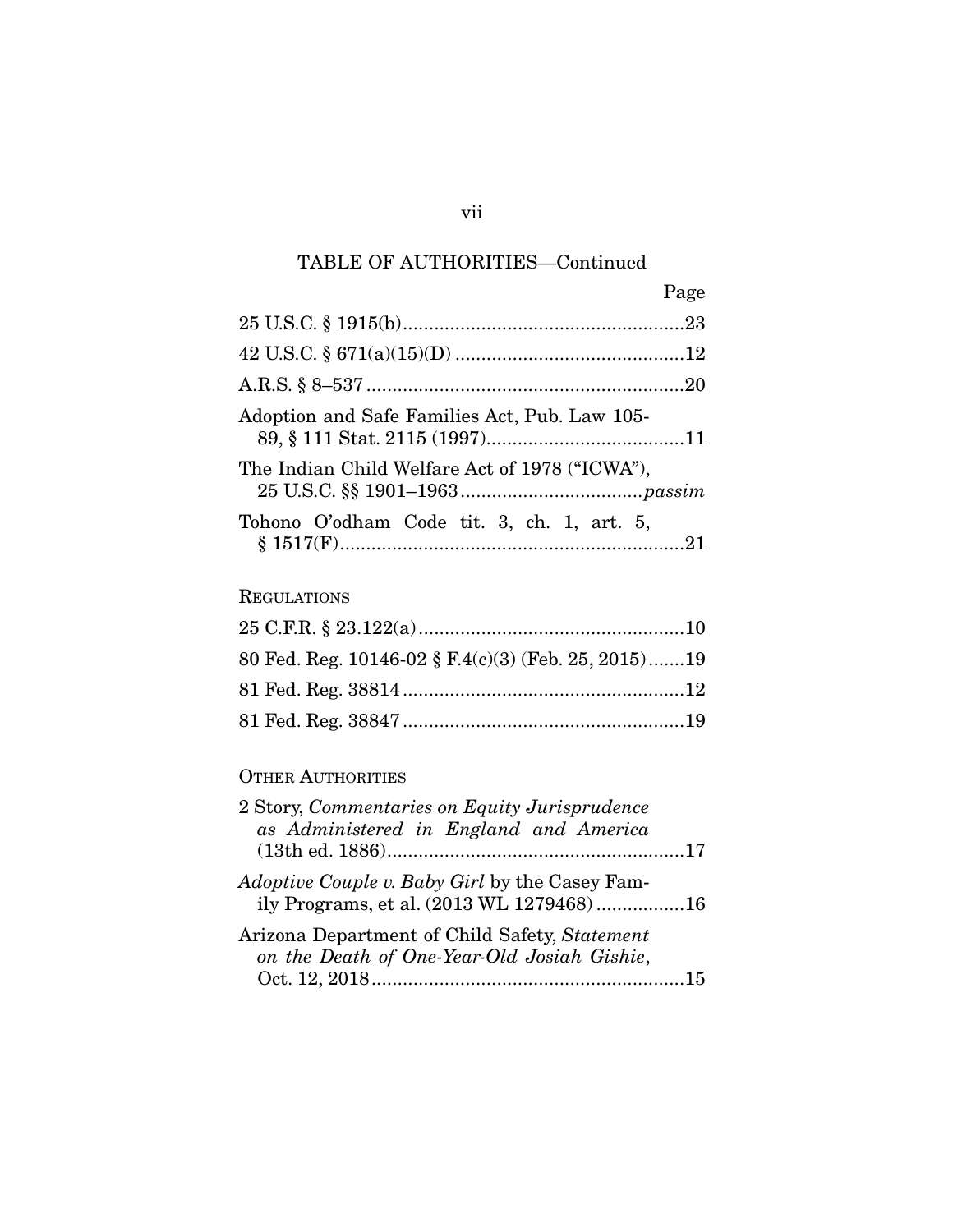|                                                | Page |
|------------------------------------------------|------|
|                                                |      |
|                                                |      |
|                                                |      |
| Adoption and Safe Families Act, Pub. Law 105-  |      |
| The Indian Child Welfare Act of 1978 ("ICWA"), |      |
| Tohono O'odham Code tit. 3, ch. 1, art. 5,     |      |

### **REGULATIONS**

|  | 80 Fed. Reg. 10146-02 § F.4(c)(3) (Feb. 25, 2015)19 |  |
|--|-----------------------------------------------------|--|
|  |                                                     |  |
|  |                                                     |  |

### OTHER AUTHORITIES

| 2 Story, Commentaries on Equity Jurisprudence         |  |
|-------------------------------------------------------|--|
| as Administered in England and America                |  |
|                                                       |  |
| <i>Adoptive Couple v. Baby Girl</i> by the Casey Fam- |  |
| ily Programs, et al. (2013 WL 1279468)16              |  |
| Arizona Department of Child Safety, Statement         |  |
| on the Death of One-Year-Old Josiah Gishie,           |  |
|                                                       |  |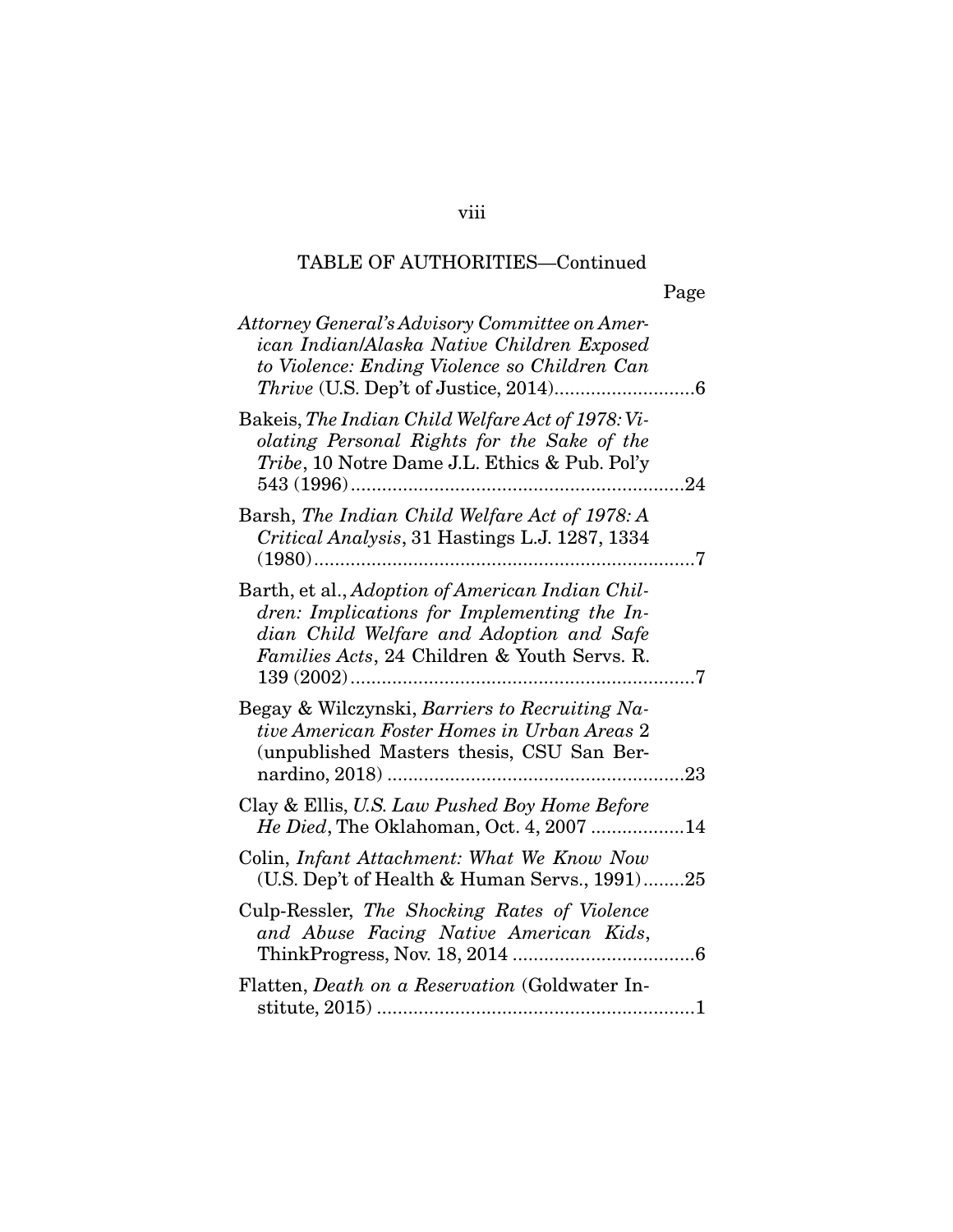|                                                                                                                                                                                             | Page |
|---------------------------------------------------------------------------------------------------------------------------------------------------------------------------------------------|------|
| Attorney General's Advisory Committee on Amer-<br>ican Indian/Alaska Native Children Exposed<br>to Violence: Ending Violence so Children Can                                                |      |
| Bakeis, The Indian Child Welfare Act of 1978: Vi-<br>olating Personal Rights for the Sake of the<br>Tribe, 10 Notre Dame J.L. Ethics & Pub. Pol'y                                           | 24   |
| Barsh, The Indian Child Welfare Act of 1978: A<br>Critical Analysis, 31 Hastings L.J. 1287, 1334                                                                                            | 7    |
| Barth, et al., Adoption of American Indian Chil-<br>dren: Implications for Implementing the In-<br>dian Child Welfare and Adoption and Safe<br>Families Acts, 24 Children & Youth Servs. R. | 7    |
| Begay & Wilczynski, Barriers to Recruiting Na-<br>tive American Foster Homes in Urban Areas 2<br>(unpublished Masters thesis, CSU San Ber-                                                  | 23   |
| Clay & Ellis, U.S. Law Pushed Boy Home Before<br>He Died, The Oklahoman, Oct. 4, 2007                                                                                                       | .14  |
| Colin, Infant Attachment: What We Know Now<br>(U.S. Dep't of Health & Human Servs., 1991)25                                                                                                 |      |
| Culp-Ressler, The Shocking Rates of Violence<br>and Abuse Facing Native American Kids,                                                                                                      |      |
| Flatten, <i>Death on a Reservation</i> (Goldwater In-                                                                                                                                       |      |

viii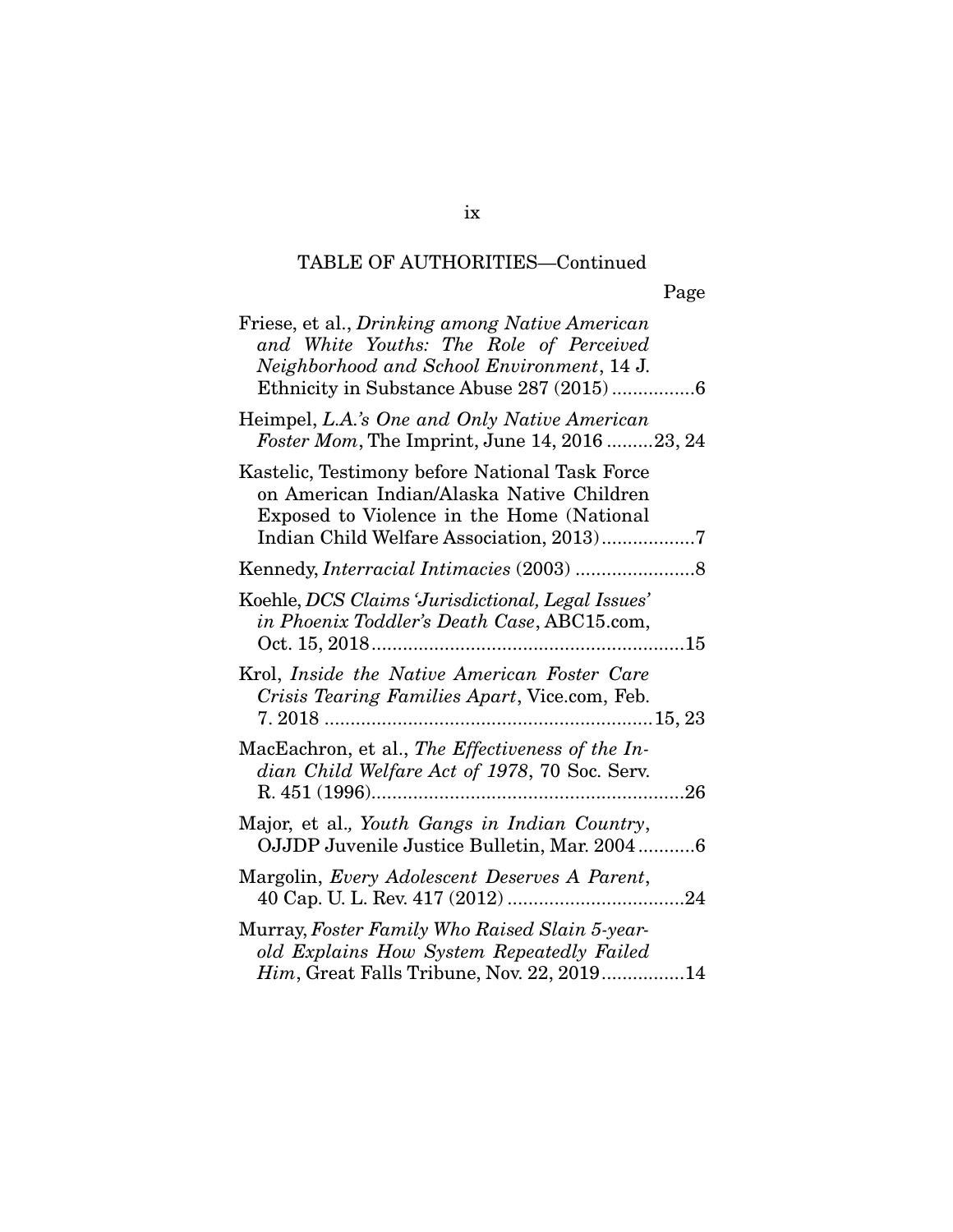|                                                                                                                                                                                      | Page |
|--------------------------------------------------------------------------------------------------------------------------------------------------------------------------------------|------|
| Friese, et al., Drinking among Native American<br>and White Youths: The Role of Perceived<br>Neighborhood and School Environment, 14 J.                                              |      |
| Heimpel, L.A.'s One and Only Native American<br>Foster Mom, The Imprint, June 14, 2016 23, 24                                                                                        |      |
| Kastelic, Testimony before National Task Force<br>on American Indian/Alaska Native Children<br>Exposed to Violence in the Home (National<br>Indian Child Welfare Association, 2013)7 |      |
|                                                                                                                                                                                      |      |
| Koehle, DCS Claims 'Jurisdictional, Legal Issues'<br>in Phoenix Toddler's Death Case, ABC15.com,                                                                                     |      |
| Krol, Inside the Native American Foster Care<br>Crisis Tearing Families Apart, Vice.com, Feb.                                                                                        |      |
| MacEachron, et al., The Effectiveness of the In-<br>dian Child Welfare Act of 1978, 70 Soc. Serv.<br>R.451(1996)                                                                     | 26   |
| Major, et al., Youth Gangs in Indian Country,<br>OJJDP Juvenile Justice Bulletin, Mar. 20046                                                                                         |      |
| Margolin, Every Adolescent Deserves A Parent,                                                                                                                                        |      |
| Murray, Foster Family Who Raised Slain 5-year-<br>old Explains How System Repeatedly Failed<br><i>Him</i> , Great Falls Tribune, Nov. 22, 201914                                     |      |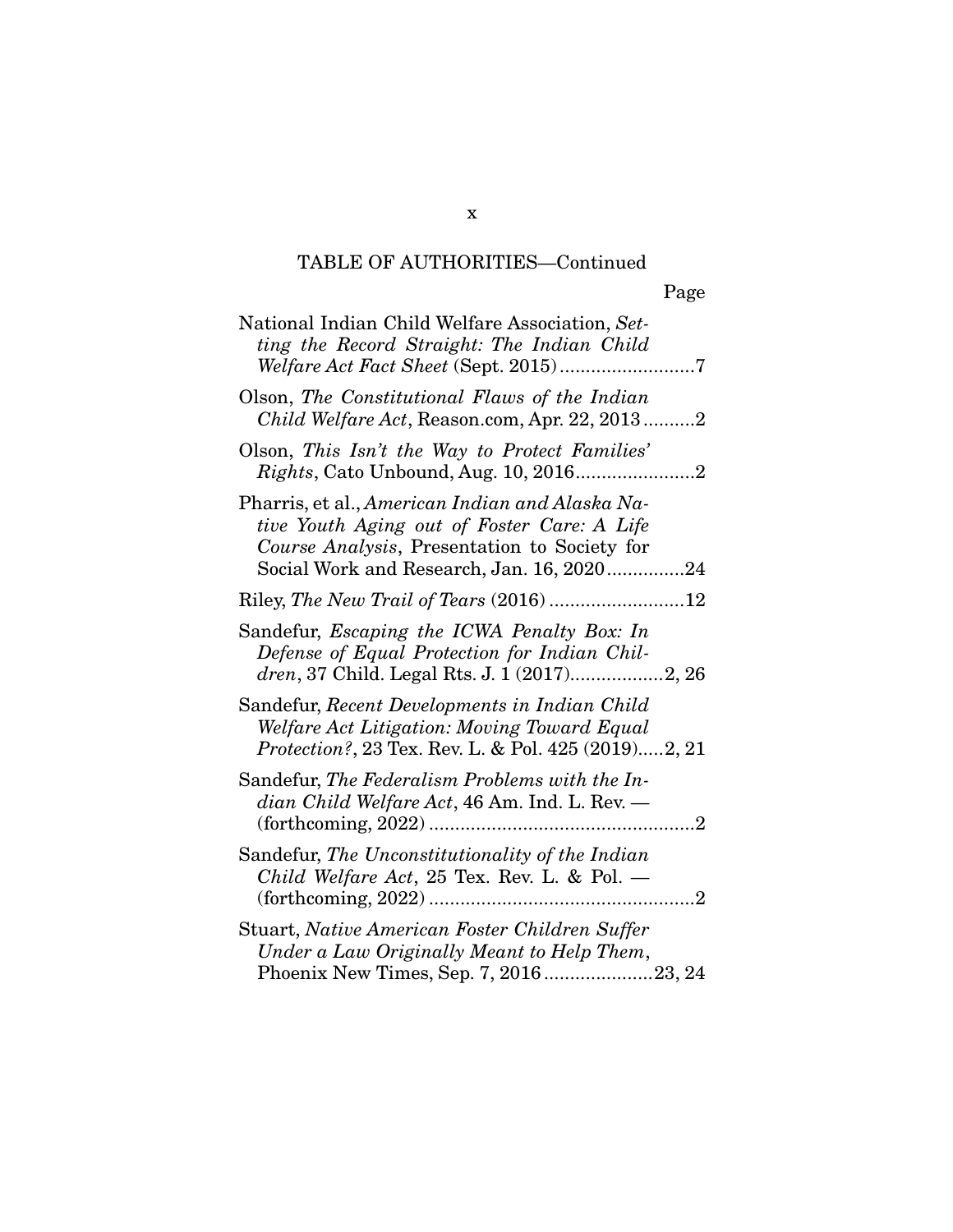| National Indian Child Welfare Association, Set-<br>ting the Record Straight: The Indian Child                                                                                               |
|---------------------------------------------------------------------------------------------------------------------------------------------------------------------------------------------|
| Olson, The Constitutional Flaws of the Indian<br>Child Welfare Act, Reason.com, Apr. 22, 20132                                                                                              |
| Olson, This Isn't the Way to Protect Families'                                                                                                                                              |
| Pharris, et al., American Indian and Alaska Na-<br>tive Youth Aging out of Foster Care: A Life<br>Course Analysis, Presentation to Society for<br>Social Work and Research, Jan. 16, 202024 |
|                                                                                                                                                                                             |
| Sandefur, Escaping the ICWA Penalty Box: In<br>Defense of Equal Protection for Indian Chil-                                                                                                 |
| Sandefur, Recent Developments in Indian Child<br>Welfare Act Litigation: Moving Toward Equal<br>Protection?, 23 Tex. Rev. L. & Pol. 425 (2019)2, 21                                         |
| Sandefur, The Federalism Problems with the In-<br>dian Child Welfare Act, 46 Am. Ind. L. Rev. —                                                                                             |
| Sandefur, The Unconstitutionality of the Indian<br>Child Welfare Act, 25 Tex. Rev. L. & Pol. $-$                                                                                            |
| Stuart, Native American Foster Children Suffer<br>Under a Law Originally Meant to Help Them,<br>Phoenix New Times, Sep. 7, 201623, 24                                                       |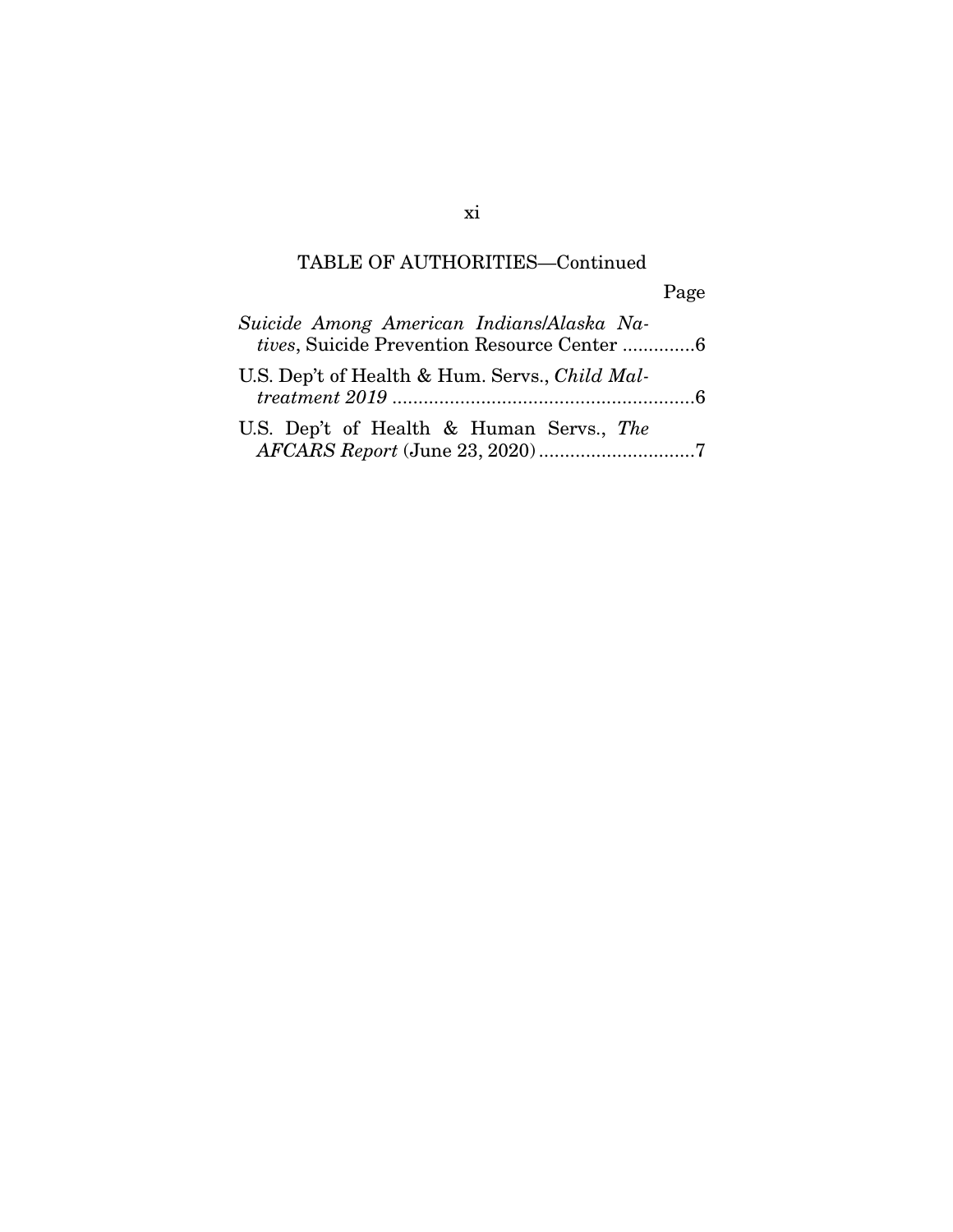Page

| Suicide Among American Indians/Alaska Na-<br>tives. Suicide Prevention Resource Center 6 |  |
|------------------------------------------------------------------------------------------|--|
| U.S. Dep't of Health & Hum. Servs., Child Mal-                                           |  |
| U.S. Dep't of Health & Human Servs., The                                                 |  |

xi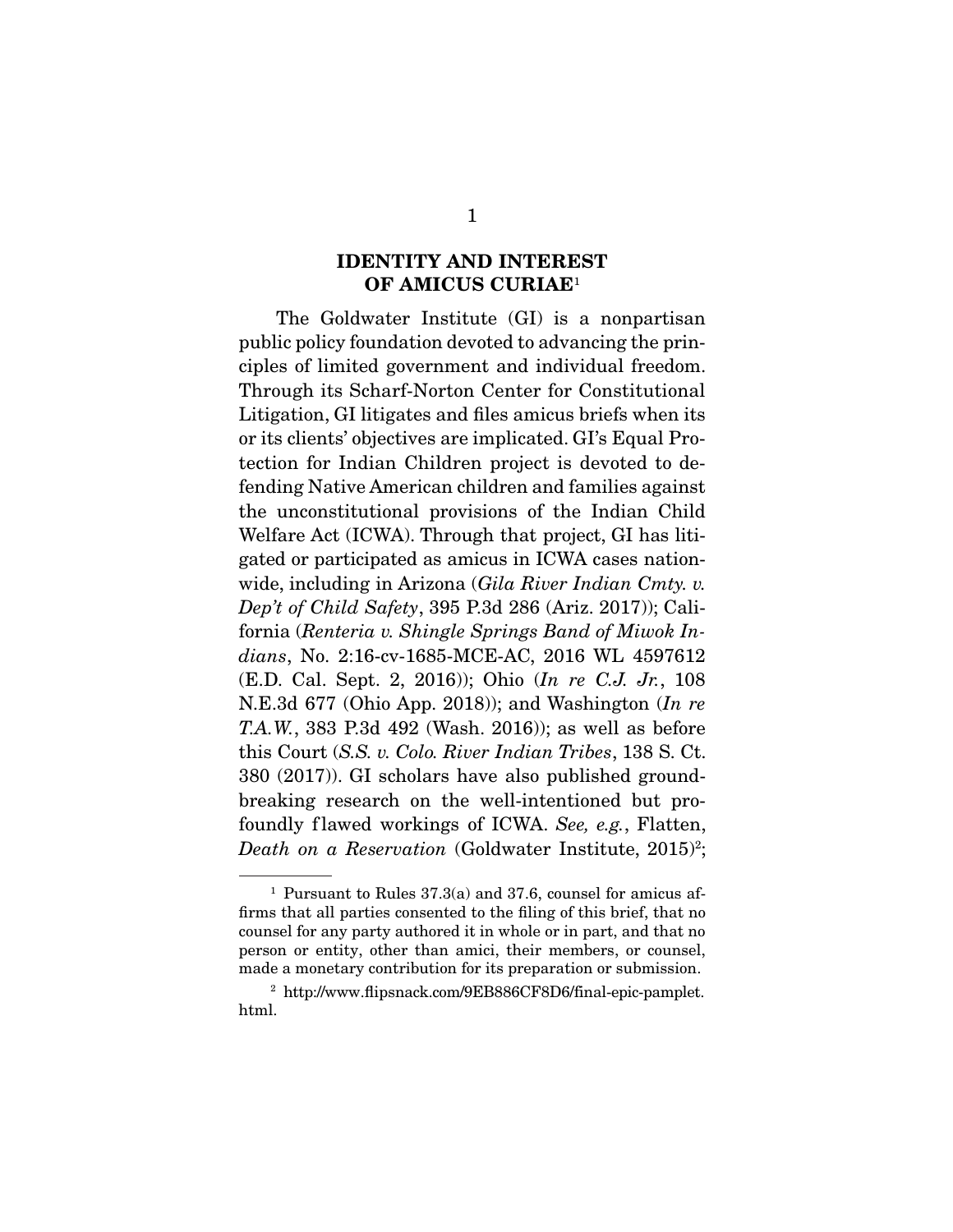### **IDENTITY AND INTEREST OF AMICUS CURIAE**<sup>1</sup>

The Goldwater Institute (GI) is a nonpartisan public policy foundation devoted to advancing the principles of limited government and individual freedom. Through its Scharf-Norton Center for Constitutional Litigation, GI litigates and files amicus briefs when its or its clients' objectives are implicated. GI's Equal Protection for Indian Children project is devoted to defending Native American children and families against the unconstitutional provisions of the Indian Child Welfare Act (ICWA). Through that project, GI has litigated or participated as amicus in ICWA cases nationwide, including in Arizona (*Gila River Indian Cmty. v. Dep't of Child Safety*, 395 P.3d 286 (Ariz. 2017)); California (*Renteria v. Shingle Springs Band of Miwok Indians*, No. 2:16-cv-1685-MCE-AC, 2016 WL 4597612 (E.D. Cal. Sept. 2, 2016)); Ohio (*In re C.J. Jr.*, 108 N.E.3d 677 (Ohio App. 2018)); and Washington (*In re T.A.W.*, 383 P.3d 492 (Wash. 2016)); as well as before this Court (*S.S. v. Colo. River Indian Tribes*, 138 S. Ct. 380 (2017)). GI scholars have also published groundbreaking research on the well-intentioned but profoundly f lawed workings of ICWA. *See, e.g.*, Flatten, *Death on a Reservation* (Goldwater Institute, 2015)<sup>2</sup>;

<sup>1</sup> Pursuant to Rules 37.3(a) and 37.6, counsel for amicus affirms that all parties consented to the filing of this brief, that no counsel for any party authored it in whole or in part, and that no person or entity, other than amici, their members, or counsel, made a monetary contribution for its preparation or submission.

<sup>2</sup> http://www.flipsnack.com/9EB886CF8D6/final-epic-pamplet. html.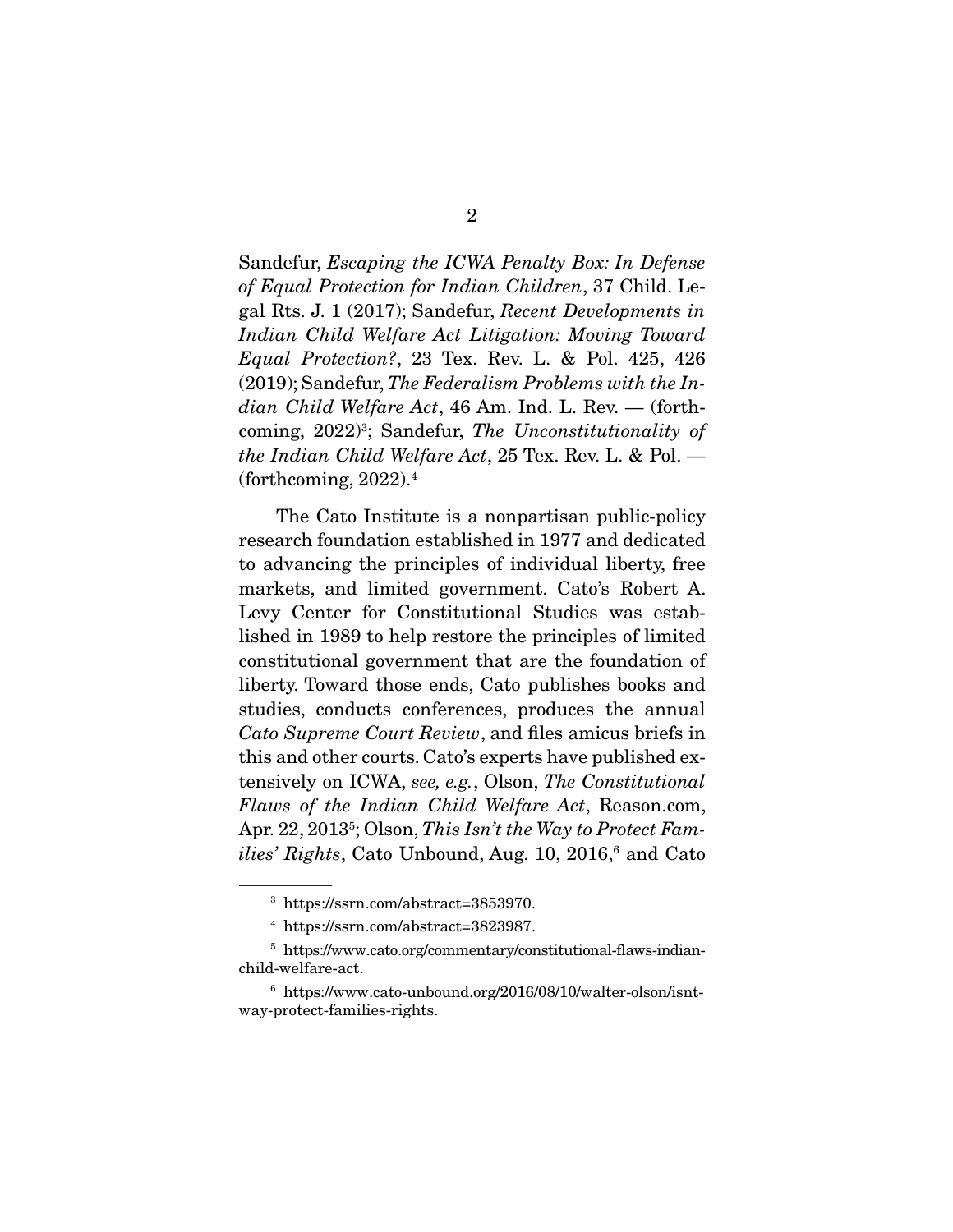Sandefur, *Escaping the ICWA Penalty Box: In Defense of Equal Protection for Indian Children*, 37 Child. Legal Rts. J. 1 (2017); Sandefur, *Recent Developments in Indian Child Welfare Act Litigation: Moving Toward Equal Protection?*, 23 Tex. Rev. L. & Pol. 425, 426 (2019); Sandefur, *The Federalism Problems with the Indian Child Welfare Act*, 46 Am. Ind. L. Rev. — (forthcoming, 2022)3 ; Sandefur, *The Unconstitutionality of the Indian Child Welfare Act*, 25 Tex. Rev. L. & Pol. — (forthcoming,  $2022$ ).<sup>4</sup>

 The Cato Institute is a nonpartisan public-policy research foundation established in 1977 and dedicated to advancing the principles of individual liberty, free markets, and limited government. Cato's Robert A. Levy Center for Constitutional Studies was established in 1989 to help restore the principles of limited constitutional government that are the foundation of liberty. Toward those ends, Cato publishes books and studies, conducts conferences, produces the annual *Cato Supreme Court Review*, and files amicus briefs in this and other courts. Cato's experts have published extensively on ICWA, *see, e.g.*, Olson, *The Constitutional Flaws of the Indian Child Welfare Act*, Reason.com, Apr. 22, 20135 ; Olson, *This Isn't the Way to Protect Fam*i*lies' Rights*, Cato Unbound, Aug. 10, 2016,<sup>6</sup> and Cato

<sup>3</sup> https://ssrn.com/abstract=3853970.

<sup>4</sup> https://ssrn.com/abstract=3823987.

<sup>5</sup> https://www.cato.org/commentary/constitutional-flaws-indianchild-welfare-act.

<sup>6</sup> https://www.cato-unbound.org/2016/08/10/walter-olson/isntway-protect-families-rights.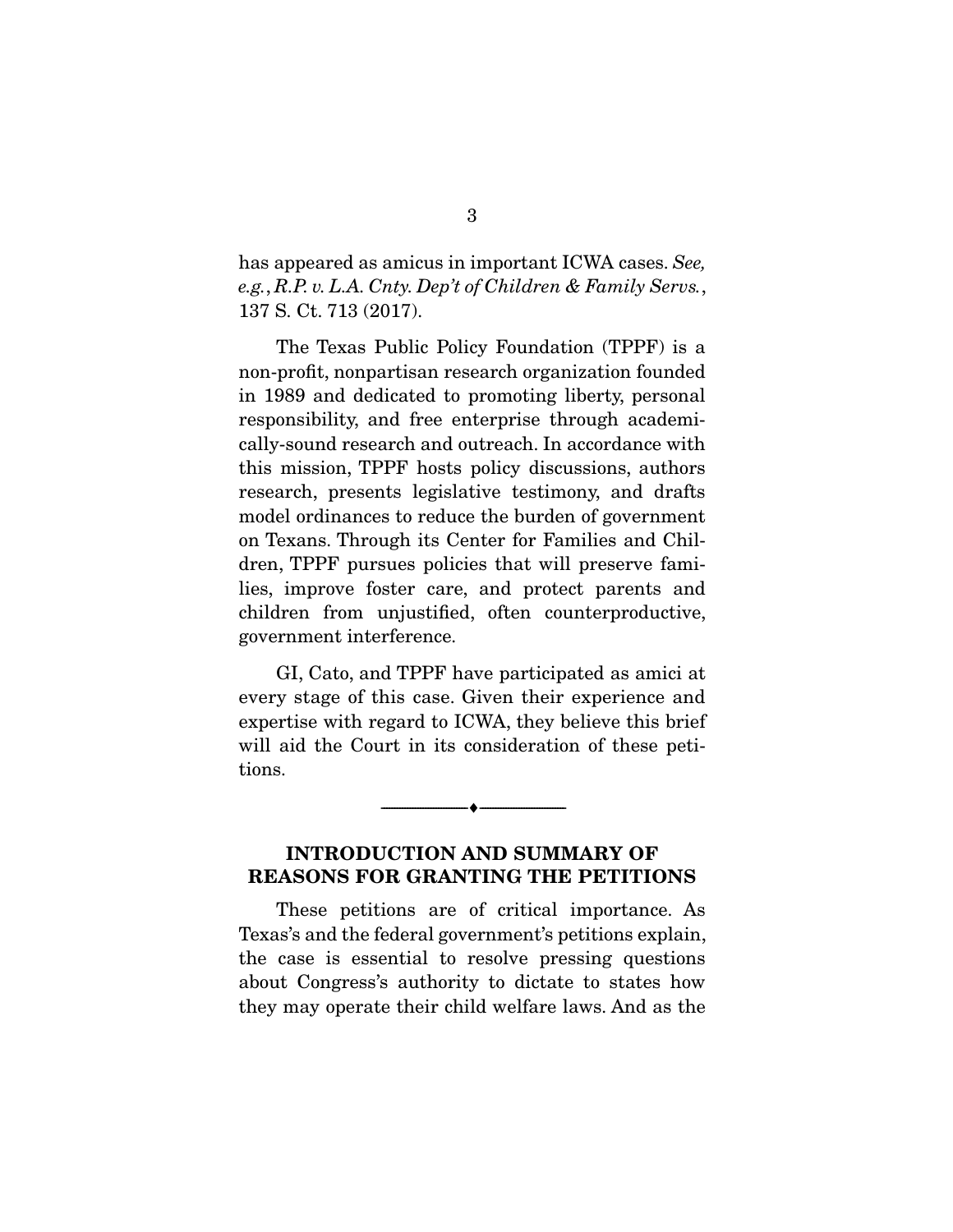has appeared as amicus in important ICWA cases. *See, e.g.*, *R.P. v. L.A. Cnty. Dep't of Children & Family Servs.*, 137 S. Ct. 713 (2017).

 The Texas Public Policy Foundation (TPPF) is a non-profit, nonpartisan research organization founded in 1989 and dedicated to promoting liberty, personal responsibility, and free enterprise through academically-sound research and outreach. In accordance with this mission, TPPF hosts policy discussions, authors research, presents legislative testimony, and drafts model ordinances to reduce the burden of government on Texans. Through its Center for Families and Children, TPPF pursues policies that will preserve families, improve foster care, and protect parents and children from unjustified, often counterproductive, government interference.

 GI, Cato, and TPPF have participated as amici at every stage of this case. Given their experience and expertise with regard to ICWA, they believe this brief will aid the Court in its consideration of these petitions.

### **INTRODUCTION AND SUMMARY OF REASONS FOR GRANTING THE PETITIONS**

 $\overbrace{\hspace{2.5cm}}^{\bullet}$   $\overbrace{\hspace{2.5cm}}^{\bullet}$ 

These petitions are of critical importance. As Texas's and the federal government's petitions explain, the case is essential to resolve pressing questions about Congress's authority to dictate to states how they may operate their child welfare laws. And as the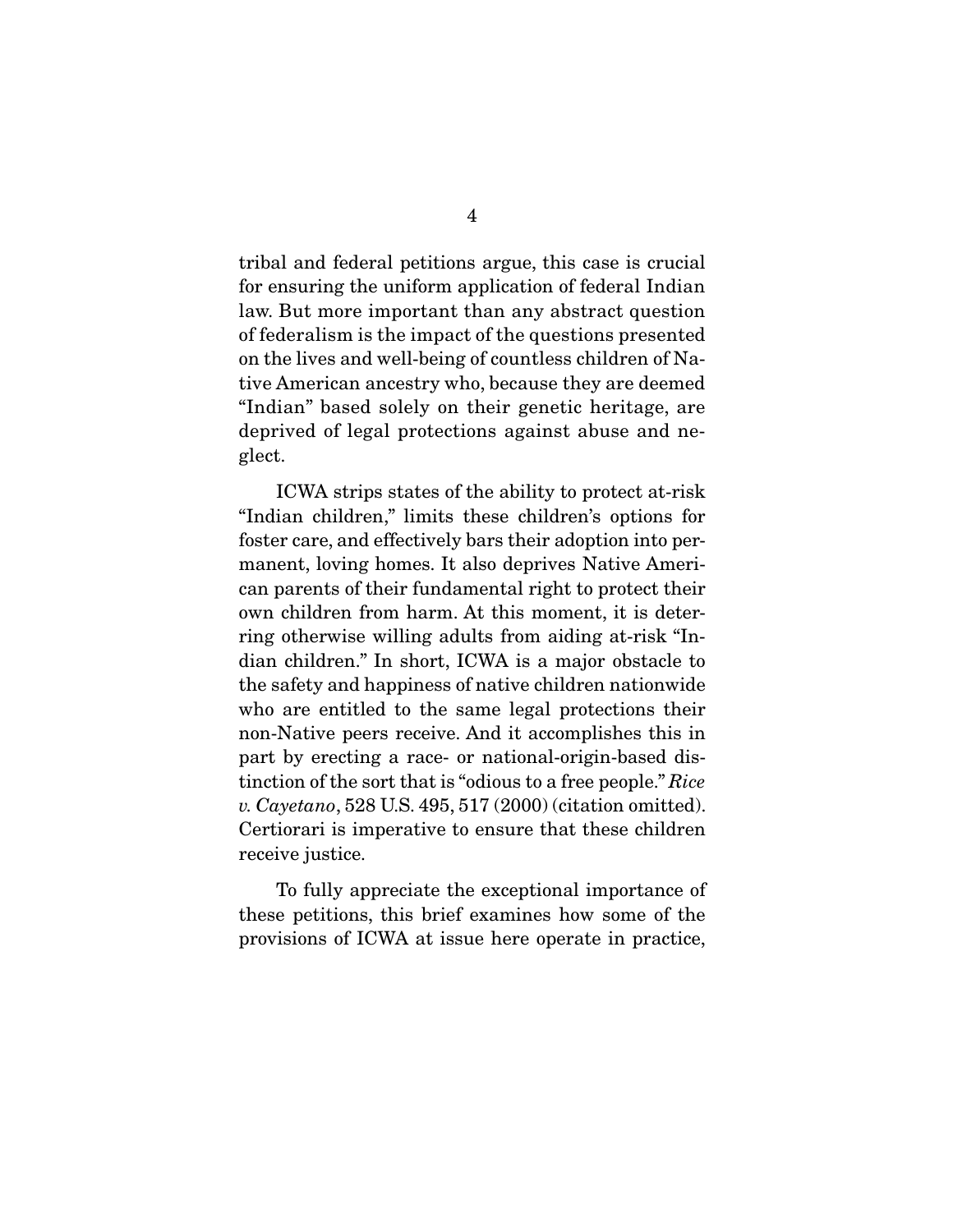tribal and federal petitions argue, this case is crucial for ensuring the uniform application of federal Indian law. But more important than any abstract question of federalism is the impact of the questions presented on the lives and well-being of countless children of Native American ancestry who, because they are deemed "Indian" based solely on their genetic heritage, are deprived of legal protections against abuse and neglect.

 ICWA strips states of the ability to protect at-risk "Indian children," limits these children's options for foster care, and effectively bars their adoption into permanent, loving homes. It also deprives Native American parents of their fundamental right to protect their own children from harm. At this moment, it is deterring otherwise willing adults from aiding at-risk "Indian children." In short, ICWA is a major obstacle to the safety and happiness of native children nationwide who are entitled to the same legal protections their non-Native peers receive. And it accomplishes this in part by erecting a race- or national-origin-based distinction of the sort that is "odious to a free people." *Rice v. Cayetano*, 528 U.S. 495, 517 (2000) (citation omitted). Certiorari is imperative to ensure that these children receive justice.

 To fully appreciate the exceptional importance of these petitions, this brief examines how some of the provisions of ICWA at issue here operate in practice,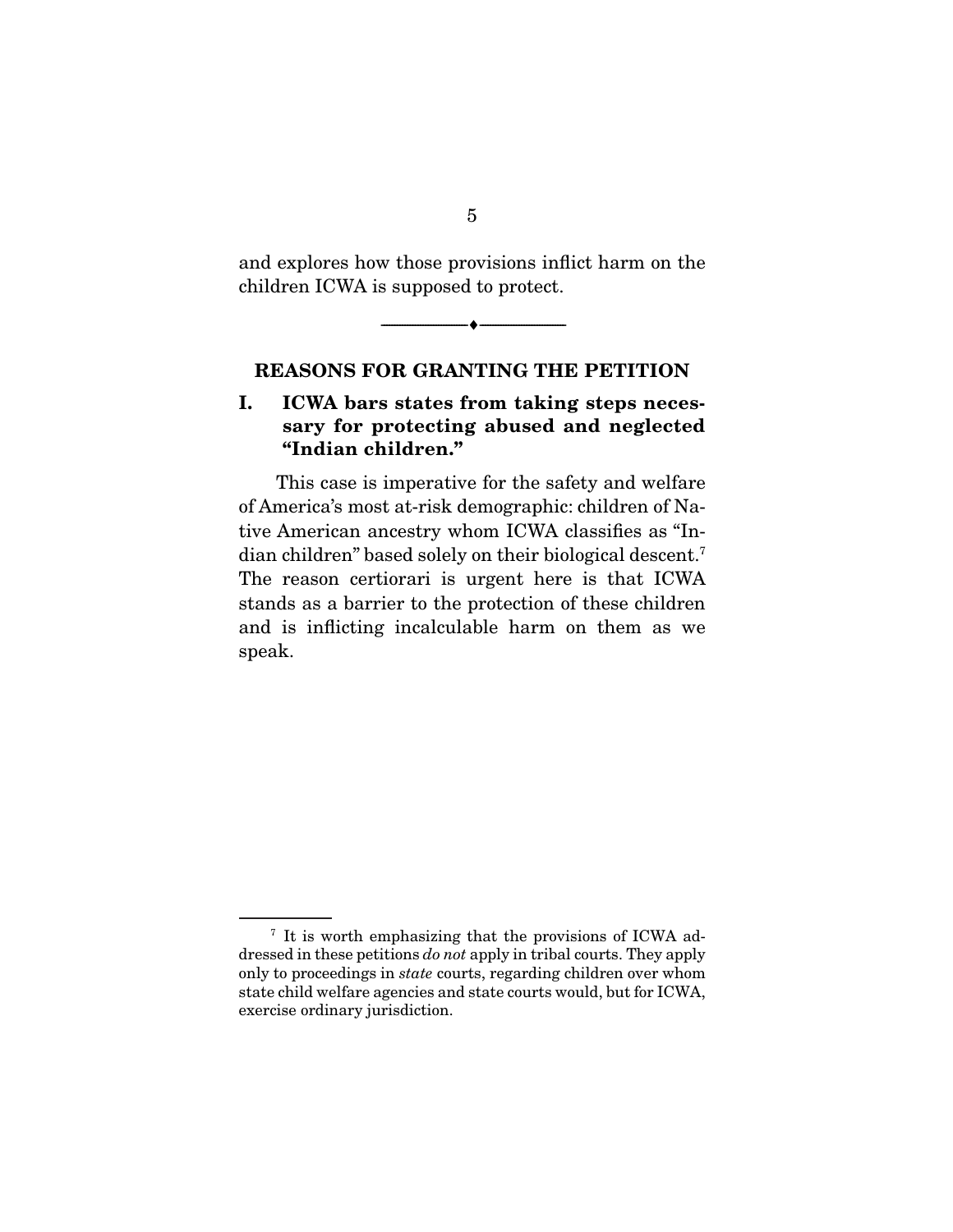and explores how those provisions inflict harm on the children ICWA is supposed to protect.

 $\overbrace{\hspace{2.5cm}}^{\bullet}$   $\overbrace{\hspace{2.5cm}}^{\bullet}$ 

#### **REASONS FOR GRANTING THE PETITION**

### **I. ICWA bars states from taking steps necessary for protecting abused and neglected "Indian children."**

This case is imperative for the safety and welfare of America's most at-risk demographic: children of Native American ancestry whom ICWA classifies as "Indian children" based solely on their biological descent.7 The reason certiorari is urgent here is that ICWA stands as a barrier to the protection of these children and is inflicting incalculable harm on them as we speak.

<sup>7</sup> It is worth emphasizing that the provisions of ICWA addressed in these petitions *do not* apply in tribal courts. They apply only to proceedings in *state* courts, regarding children over whom state child welfare agencies and state courts would, but for ICWA, exercise ordinary jurisdiction.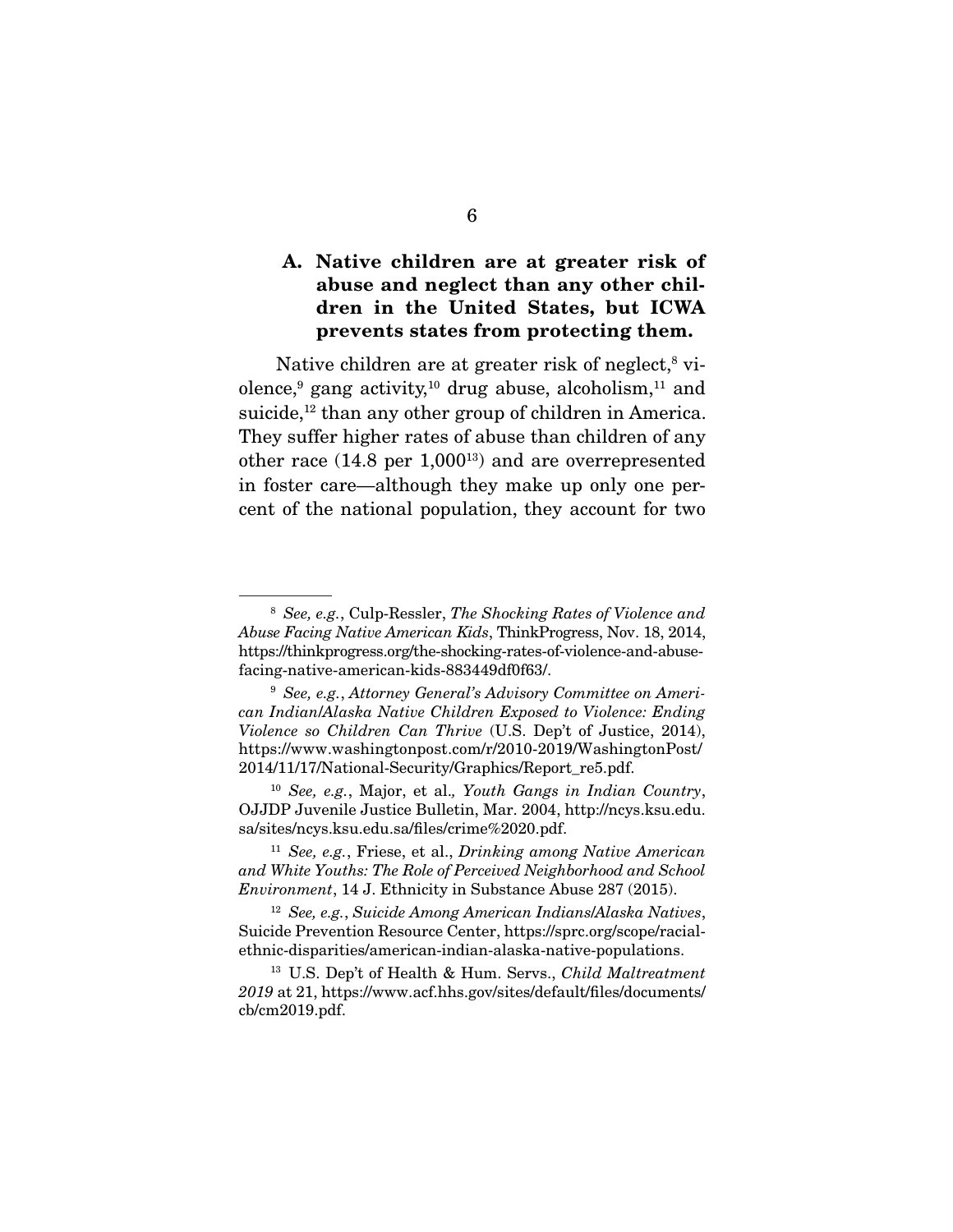### **A. Native children are at greater risk of abuse and neglect than any other children in the United States, but ICWA prevents states from protecting them.**

Native children are at greater risk of neglect,<sup>8</sup> violence,<sup>9</sup> gang activity,<sup>10</sup> drug abuse, alcoholism,<sup>11</sup> and suicide,<sup>12</sup> than any other group of children in America. They suffer higher rates of abuse than children of any other race  $(14.8 \text{ per } 1,000^{13})$  and are overrepresented in foster care—although they make up only one percent of the national population, they account for two

<sup>8</sup> *See, e.g.*, Culp-Ressler, *The Shocking Rates of Violence and Abuse Facing Native American Kids*, ThinkProgress, Nov. 18, 2014, https://thinkprogress.org/the-shocking-rates-of-violence-and-abusefacing-native-american-kids-883449df0f63/.

<sup>9</sup> *See, e.g.*, *Attorney General's Advisory Committee on American Indian*/*Alaska Native Children Exposed to Violence: Ending Violence so Children Can Thrive* (U.S. Dep't of Justice, 2014), https://www.washingtonpost.com/r/2010-2019/WashingtonPost/ 2014/11/17/National-Security/Graphics/Report\_re5.pdf.

<sup>10</sup> *See, e.g.*, Major, et al.*, Youth Gangs in Indian Country*, OJJDP Juvenile Justice Bulletin, Mar. 2004, http://ncys.ksu.edu. sa/sites/ncys.ksu.edu.sa/files/crime%2020.pdf.

<sup>11</sup> *See, e.g.*, Friese, et al., *Drinking among Native American and White Youths: The Role of Perceived Neighborhood and School Environment*, 14 J. Ethnicity in Substance Abuse 287 (2015).

<sup>12</sup> *See, e.g.*, *Suicide Among American Indians*/*Alaska Natives*, Suicide Prevention Resource Center, https://sprc.org/scope/racialethnic-disparities/american-indian-alaska-native-populations.

<sup>13</sup> U.S. Dep't of Health & Hum. Servs., *Child Maltreatment 2019* at 21, https://www.acf.hhs.gov/sites/default/files/documents/ cb/cm2019.pdf.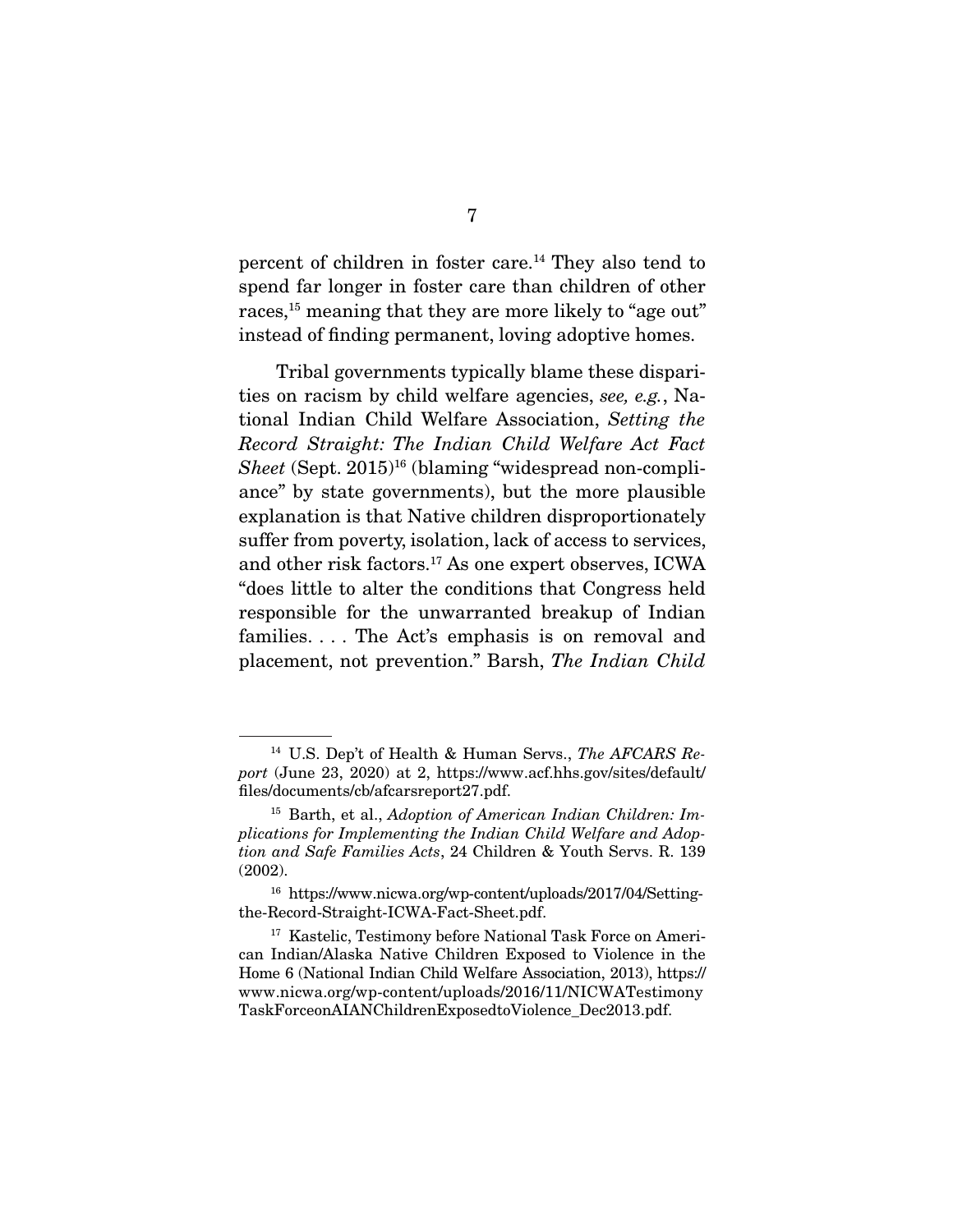percent of children in foster care.14 They also tend to spend far longer in foster care than children of other races,<sup>15</sup> meaning that they are more likely to "age out" instead of finding permanent, loving adoptive homes.

 Tribal governments typically blame these disparities on racism by child welfare agencies, *see, e.g.*, National Indian Child Welfare Association, *Setting the Record Straight: The Indian Child Welfare Act Fact*  Sheet (Sept. 2015)<sup>16</sup> (blaming "widespread non-compliance" by state governments), but the more plausible explanation is that Native children disproportionately suffer from poverty, isolation, lack of access to services, and other risk factors.17 As one expert observes, ICWA "does little to alter the conditions that Congress held responsible for the unwarranted breakup of Indian families. . . . The Act's emphasis is on removal and placement, not prevention." Barsh, *The Indian Child* 

<sup>14</sup> U.S. Dep't of Health & Human Servs., *The AFCARS Report* (June 23, 2020) at 2, https://www.acf.hhs.gov/sites/default/ files/documents/cb/afcarsreport27.pdf.

<sup>15</sup> Barth, et al., *Adoption of American Indian Children: Implications for Implementing the Indian Child Welfare and Adoption and Safe Families Acts*, 24 Children & Youth Servs. R. 139 (2002).

<sup>16</sup> https://www.nicwa.org/wp-content/uploads/2017/04/Settingthe-Record-Straight-ICWA-Fact-Sheet.pdf.

<sup>&</sup>lt;sup>17</sup> Kastelic, Testimony before National Task Force on American Indian/Alaska Native Children Exposed to Violence in the Home 6 (National Indian Child Welfare Association, 2013), https:// www.nicwa.org/wp-content/uploads/2016/11/NICWATestimony TaskForceonAIANChildrenExposedtoViolence\_Dec2013.pdf.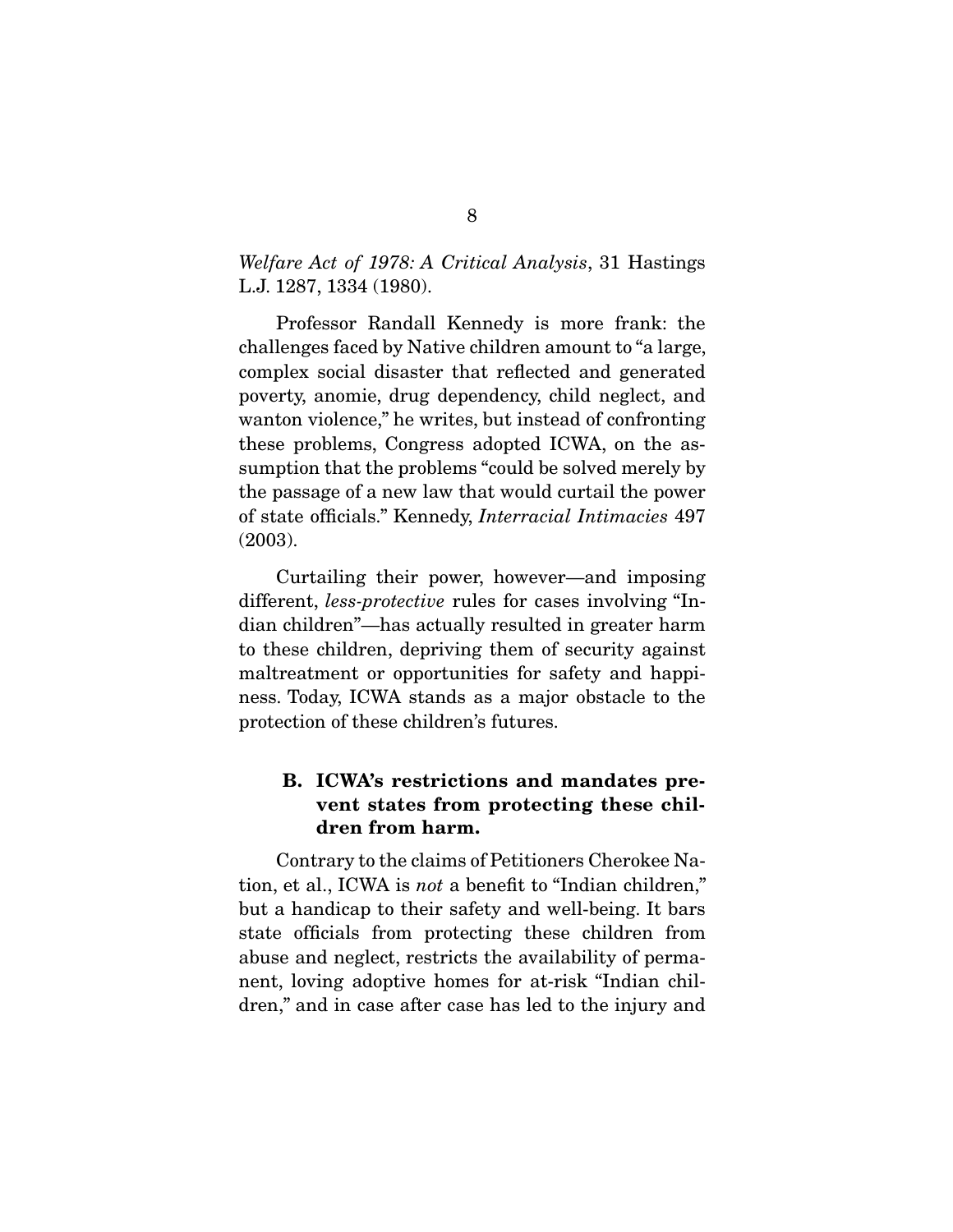#### *Welfare Act of 1978: A Critical Analysis*, 31 Hastings L.J. 1287, 1334 (1980).

 Professor Randall Kennedy is more frank: the challenges faced by Native children amount to "a large, complex social disaster that reflected and generated poverty, anomie, drug dependency, child neglect, and wanton violence," he writes, but instead of confronting these problems, Congress adopted ICWA, on the assumption that the problems "could be solved merely by the passage of a new law that would curtail the power of state officials." Kennedy, *Interracial Intimacies* 497 (2003).

 Curtailing their power, however—and imposing different, *less-protective* rules for cases involving "Indian children"—has actually resulted in greater harm to these children, depriving them of security against maltreatment or opportunities for safety and happiness. Today, ICWA stands as a major obstacle to the protection of these children's futures.

### **B. ICWA's restrictions and mandates prevent states from protecting these children from harm.**

Contrary to the claims of Petitioners Cherokee Nation, et al., ICWA is *not* a benefit to "Indian children," but a handicap to their safety and well-being. It bars state officials from protecting these children from abuse and neglect, restricts the availability of permanent, loving adoptive homes for at-risk "Indian children," and in case after case has led to the injury and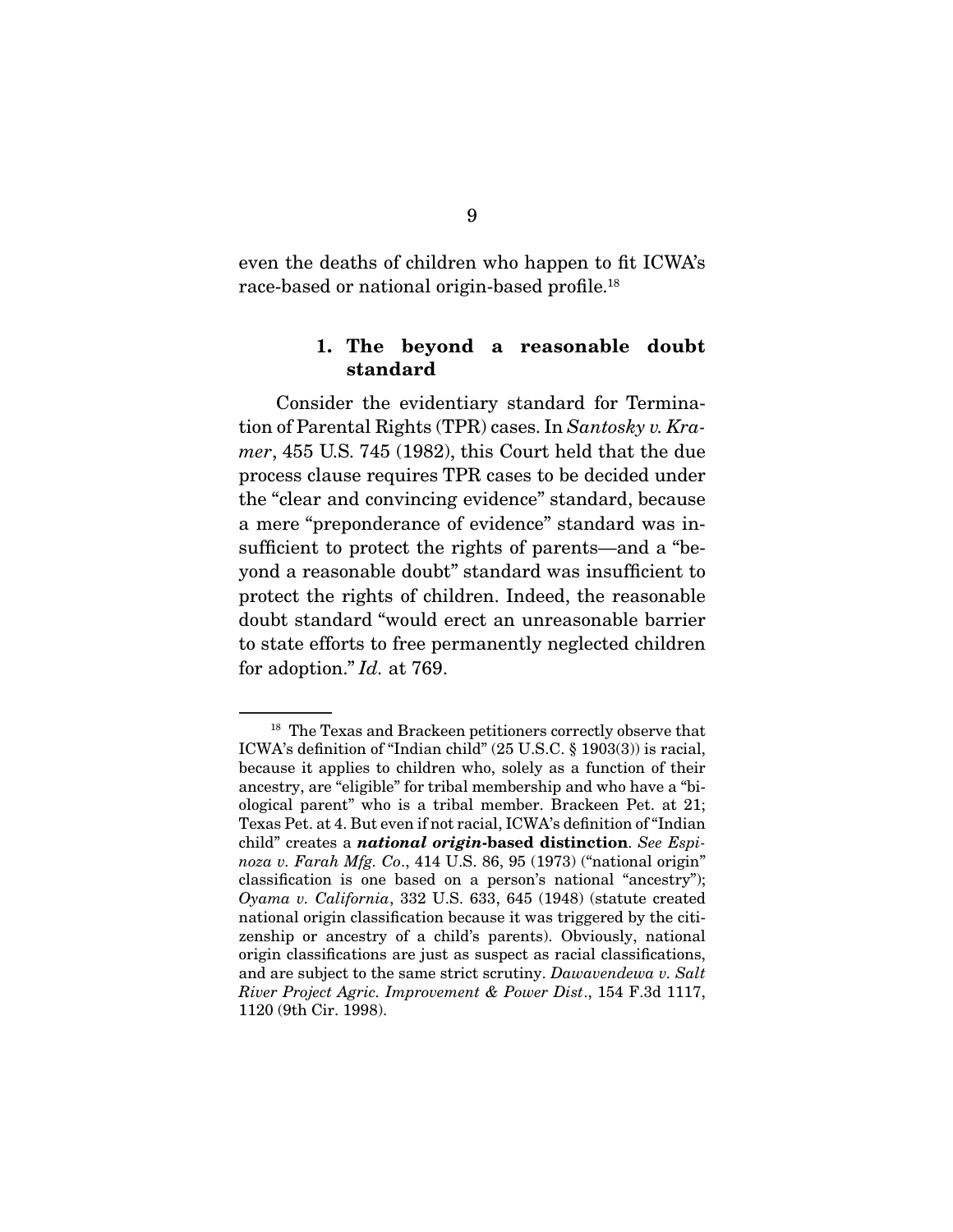even the deaths of children who happen to fit ICWA's race-based or national origin-based profile.18

#### **1. The beyond a reasonable doubt standard**

 Consider the evidentiary standard for Termination of Parental Rights (TPR) cases. In *Santosky v. Kramer*, 455 U.S. 745 (1982), this Court held that the due process clause requires TPR cases to be decided under the "clear and convincing evidence" standard, because a mere "preponderance of evidence" standard was insufficient to protect the rights of parents—and a "beyond a reasonable doubt" standard was insufficient to protect the rights of children. Indeed, the reasonable doubt standard "would erect an unreasonable barrier to state efforts to free permanently neglected children for adoption." *Id.* at 769.

<sup>&</sup>lt;sup>18</sup> The Texas and Brackeen petitioners correctly observe that ICWA's definition of "Indian child" (25 U.S.C. § 1903(3)) is racial, because it applies to children who, solely as a function of their ancestry, are "eligible" for tribal membership and who have a "biological parent" who is a tribal member. Brackeen Pet. at 21; Texas Pet. at 4. But even if not racial, ICWA's definition of "Indian child" creates a *national origin***-based distinction**. *See Espinoza v. Farah Mfg. Co*., 414 U.S. 86, 95 (1973) ("national origin" classification is one based on a person's national "ancestry"); *Oyama v. California*, 332 U.S. 633, 645 (1948) (statute created national origin classification because it was triggered by the citizenship or ancestry of a child's parents). Obviously, national origin classifications are just as suspect as racial classifications, and are subject to the same strict scrutiny. *Dawavendewa v. Salt River Project Agric. Improvement & Power Dist*., 154 F.3d 1117, 1120 (9th Cir. 1998).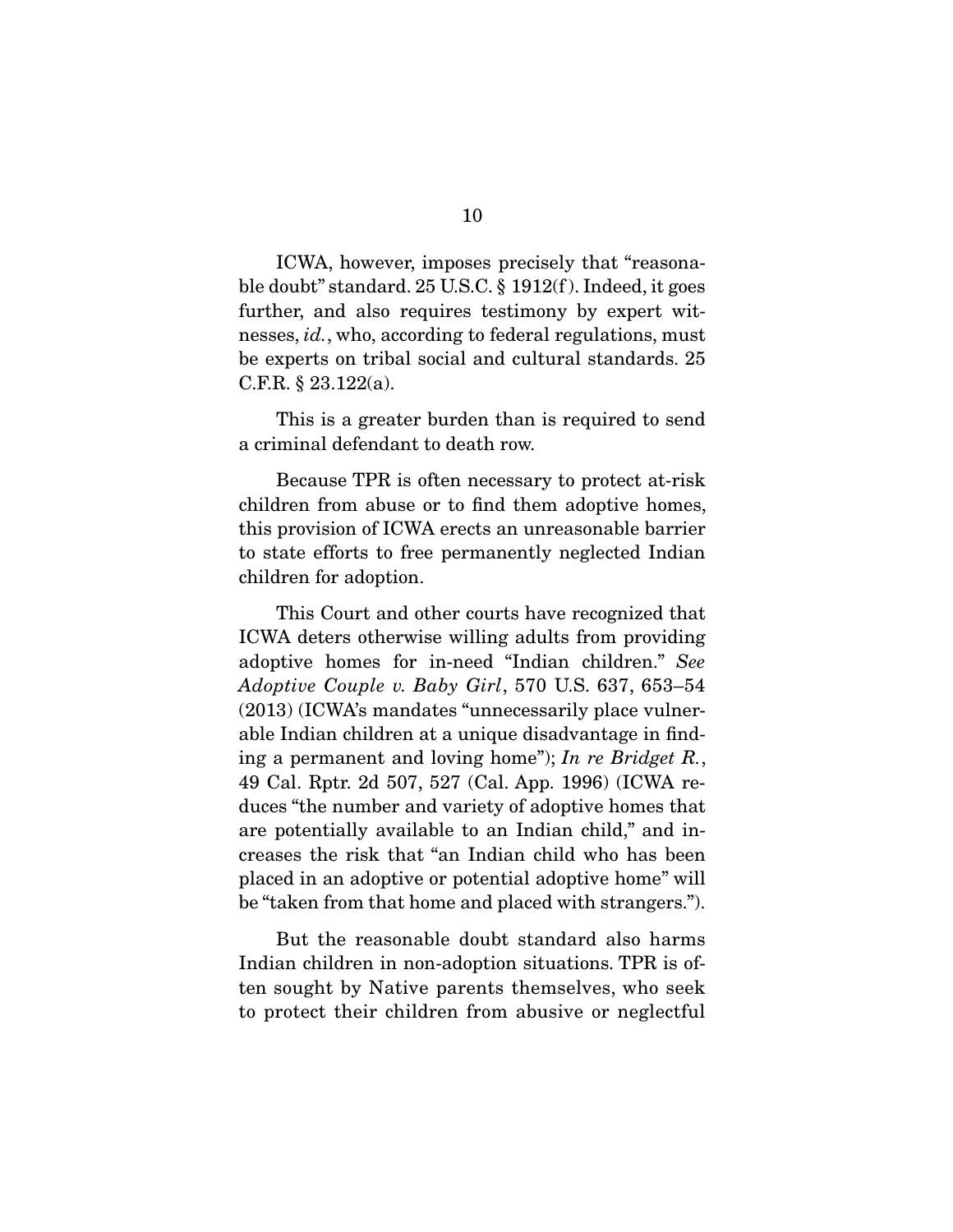ICWA, however, imposes precisely that "reasonable doubt" standard. 25 U.S.C. § 1912(f ). Indeed, it goes further, and also requires testimony by expert witnesses, *id.*, who, according to federal regulations, must be experts on tribal social and cultural standards. 25 C.F.R. § 23.122(a).

 This is a greater burden than is required to send a criminal defendant to death row.

 Because TPR is often necessary to protect at-risk children from abuse or to find them adoptive homes, this provision of ICWA erects an unreasonable barrier to state efforts to free permanently neglected Indian children for adoption.

 This Court and other courts have recognized that ICWA deters otherwise willing adults from providing adoptive homes for in-need "Indian children." *See Adoptive Couple v. Baby Girl*, 570 U.S. 637, 653–54 (2013) (ICWA's mandates "unnecessarily place vulnerable Indian children at a unique disadvantage in finding a permanent and loving home"); *In re Bridget R.*, 49 Cal. Rptr. 2d 507, 527 (Cal. App. 1996) (ICWA reduces "the number and variety of adoptive homes that are potentially available to an Indian child," and increases the risk that "an Indian child who has been placed in an adoptive or potential adoptive home" will be "taken from that home and placed with strangers.").

 But the reasonable doubt standard also harms Indian children in non-adoption situations. TPR is often sought by Native parents themselves, who seek to protect their children from abusive or neglectful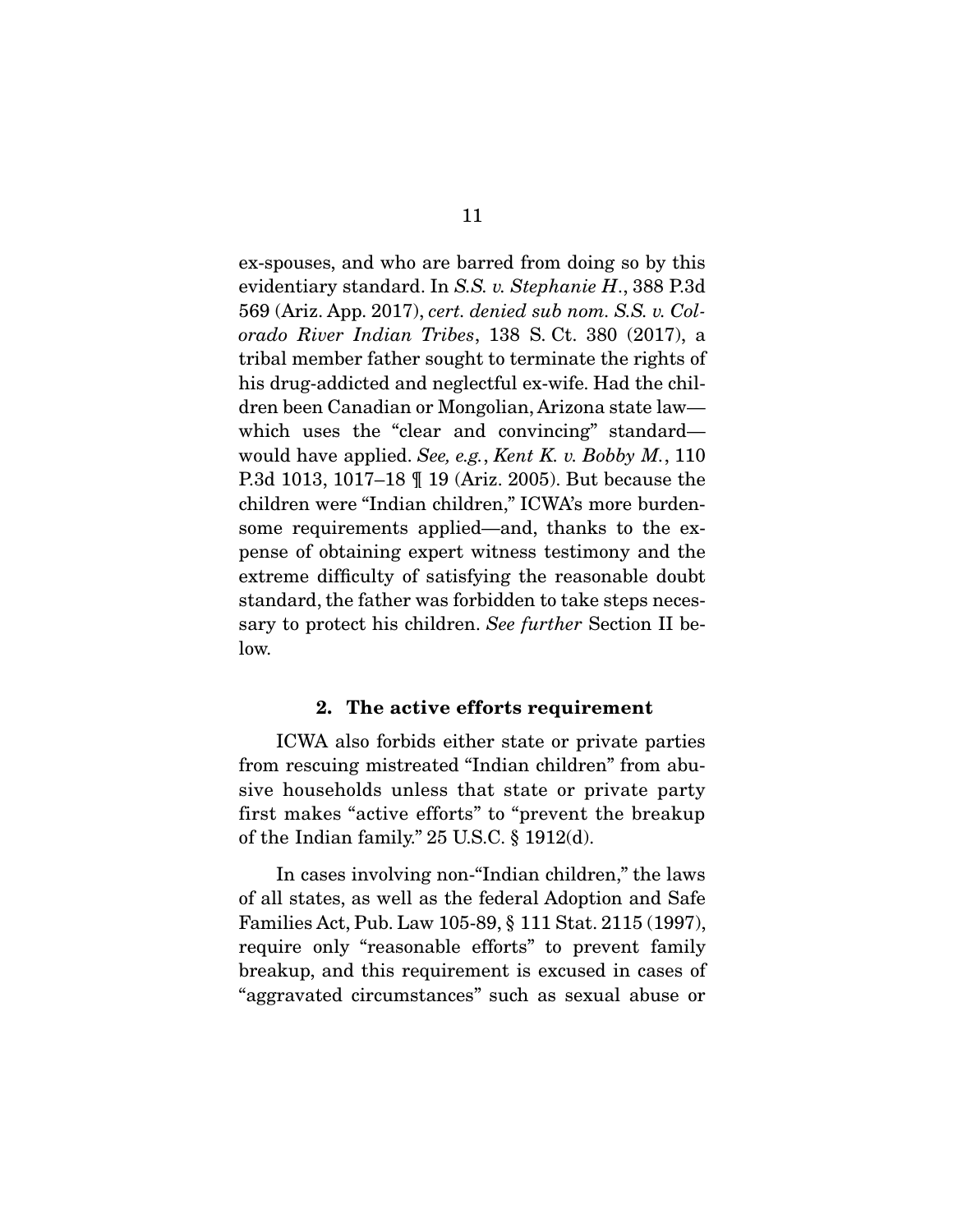ex-spouses, and who are barred from doing so by this evidentiary standard. In *S.S. v. Stephanie H*., 388 P.3d 569 (Ariz. App. 2017), *cert. denied sub nom. S.S. v. Colorado River Indian Tribes*, 138 S. Ct. 380 (2017), a tribal member father sought to terminate the rights of his drug-addicted and neglectful ex-wife. Had the children been Canadian or Mongolian, Arizona state law which uses the "clear and convincing" standard would have applied. *See, e.g.*, *Kent K. v. Bobby M.*, 110 P.3d 1013, 1017–18 ¶ 19 (Ariz. 2005). But because the children were "Indian children," ICWA's more burdensome requirements applied—and, thanks to the expense of obtaining expert witness testimony and the extreme difficulty of satisfying the reasonable doubt standard, the father was forbidden to take steps necessary to protect his children. *See further* Section II below.

#### **2. The active efforts requirement**

 ICWA also forbids either state or private parties from rescuing mistreated "Indian children" from abusive households unless that state or private party first makes "active efforts" to "prevent the breakup of the Indian family." 25 U.S.C. § 1912(d).

 In cases involving non-"Indian children," the laws of all states, as well as the federal Adoption and Safe Families Act, Pub. Law 105-89, § 111 Stat. 2115 (1997), require only "reasonable efforts" to prevent family breakup, and this requirement is excused in cases of "aggravated circumstances" such as sexual abuse or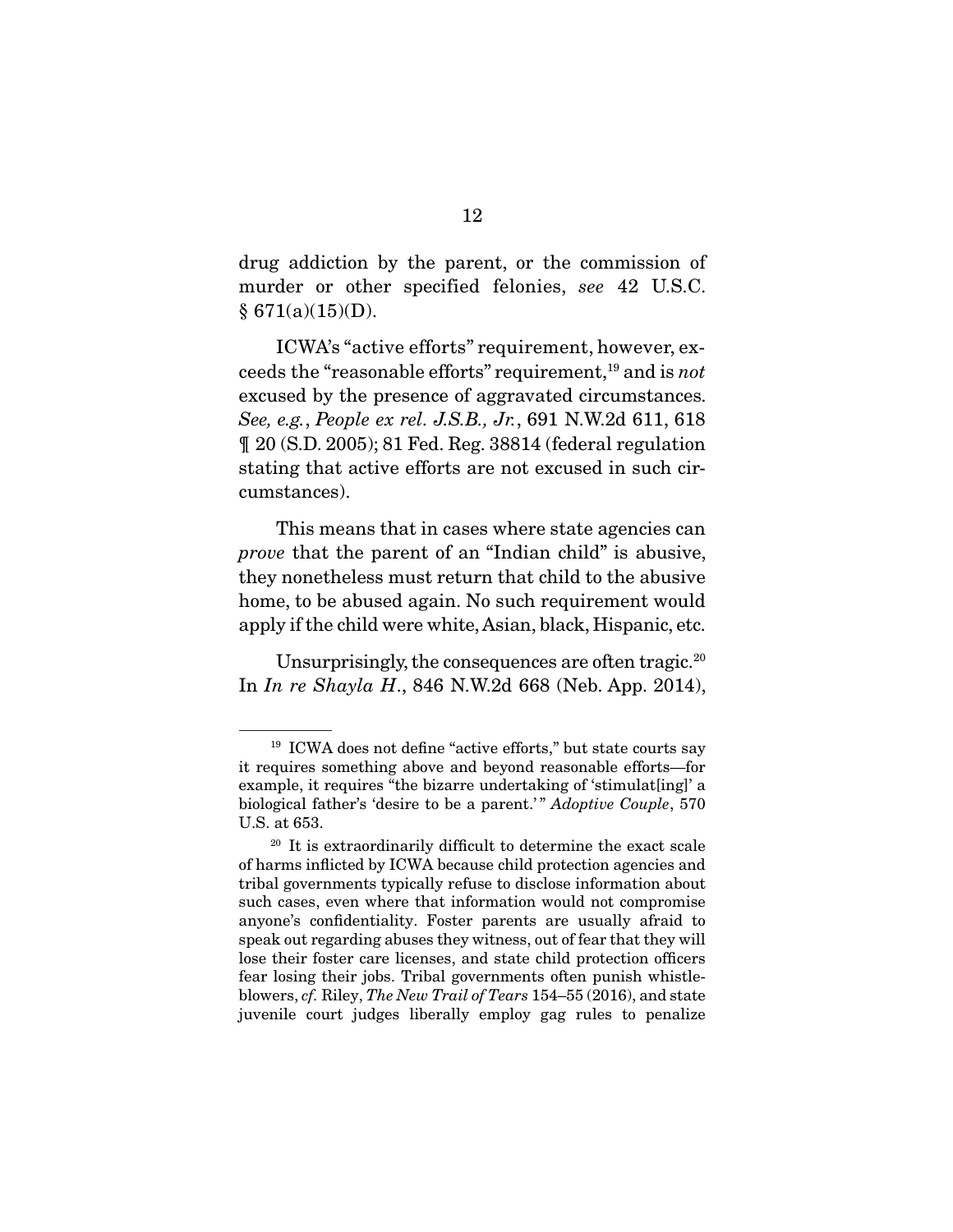drug addiction by the parent, or the commission of murder or other specified felonies, *see* 42 U.S.C.  $§ 671(a)(15)(D).$ 

 ICWA's "active efforts" requirement, however, exceeds the "reasonable efforts" requirement,19 and is *not*  excused by the presence of aggravated circumstances. *See, e.g.*, *People ex rel. J.S.B., Jr.*, 691 N.W.2d 611, 618 ¶ 20 (S.D. 2005); 81 Fed. Reg. 38814 (federal regulation stating that active efforts are not excused in such circumstances).

 This means that in cases where state agencies can *prove* that the parent of an "Indian child" is abusive, they nonetheless must return that child to the abusive home, to be abused again. No such requirement would apply if the child were white, Asian, black, Hispanic, etc.

Unsurprisingly, the consequences are often tragic. $20$ In *In re Shayla H*., 846 N.W.2d 668 (Neb. App. 2014),

<sup>&</sup>lt;sup>19</sup> ICWA does not define "active efforts," but state courts say it requires something above and beyond reasonable efforts—for example, it requires "the bizarre undertaking of 'stimulat[ing]' a biological father's 'desire to be a parent.' " *Adoptive Couple*, 570 U.S. at 653.

<sup>&</sup>lt;sup>20</sup> It is extraordinarily difficult to determine the exact scale of harms inflicted by ICWA because child protection agencies and tribal governments typically refuse to disclose information about such cases, even where that information would not compromise anyone's confidentiality. Foster parents are usually afraid to speak out regarding abuses they witness, out of fear that they will lose their foster care licenses, and state child protection officers fear losing their jobs. Tribal governments often punish whistleblowers, *cf.* Riley, *The New Trail of Tears* 154–55 (2016), and state juvenile court judges liberally employ gag rules to penalize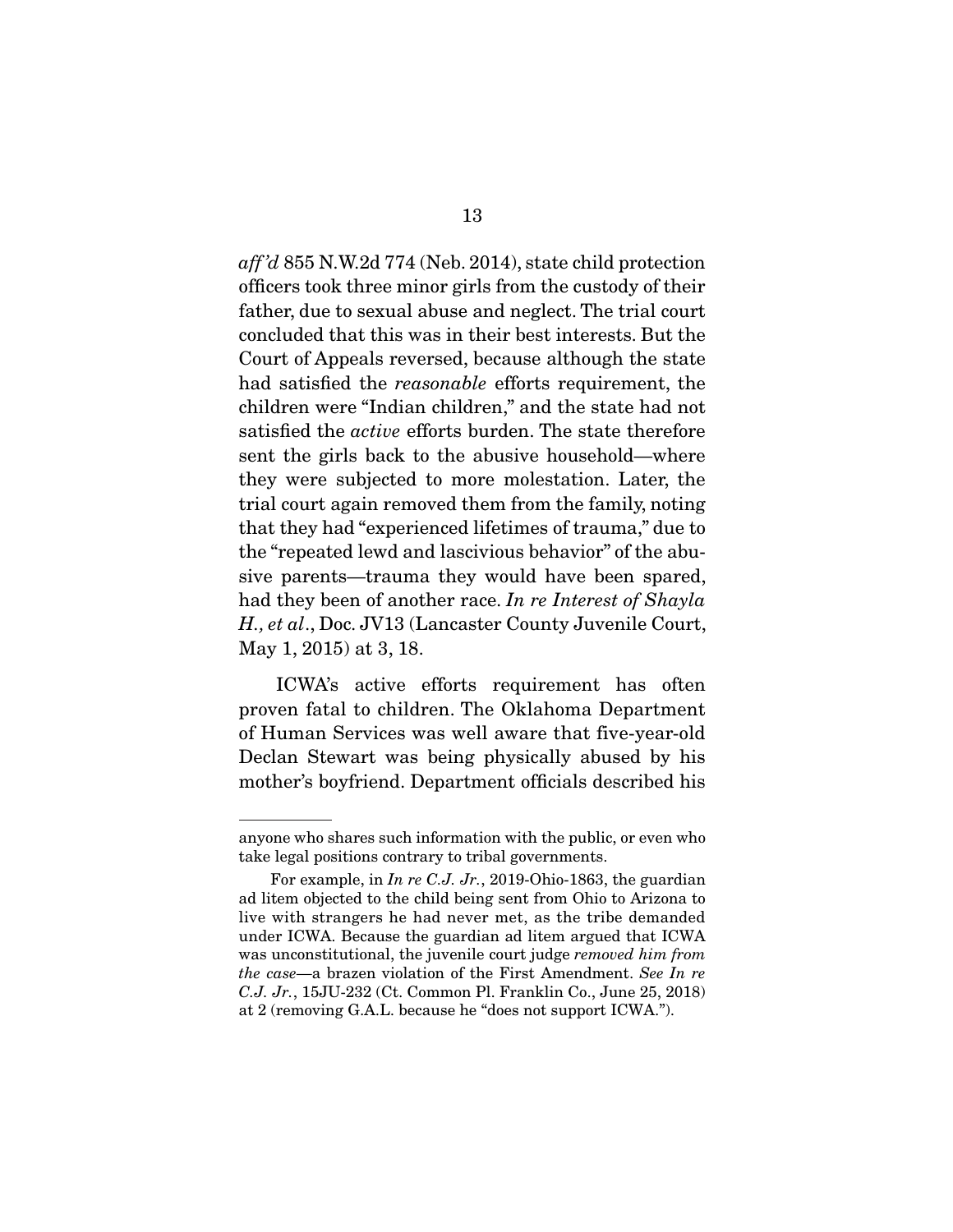*aff 'd* 855 N.W.2d 774 (Neb. 2014), state child protection officers took three minor girls from the custody of their father, due to sexual abuse and neglect. The trial court concluded that this was in their best interests. But the Court of Appeals reversed, because although the state had satisfied the *reasonable* efforts requirement, the children were "Indian children," and the state had not satisfied the *active* efforts burden. The state therefore sent the girls back to the abusive household—where they were subjected to more molestation. Later, the trial court again removed them from the family, noting that they had "experienced lifetimes of trauma," due to the "repeated lewd and lascivious behavior" of the abusive parents—trauma they would have been spared, had they been of another race. *In re Interest of Shayla H., et al*., Doc. JV13 (Lancaster County Juvenile Court, May 1, 2015) at 3, 18.

 ICWA's active efforts requirement has often proven fatal to children. The Oklahoma Department of Human Services was well aware that five-year-old Declan Stewart was being physically abused by his mother's boyfriend. Department officials described his

anyone who shares such information with the public, or even who take legal positions contrary to tribal governments.

For example, in *In re C.J. Jr.*, 2019-Ohio-1863, the guardian ad litem objected to the child being sent from Ohio to Arizona to live with strangers he had never met, as the tribe demanded under ICWA. Because the guardian ad litem argued that ICWA was unconstitutional, the juvenile court judge *removed him from the case*—a brazen violation of the First Amendment. *See In re C.J. Jr.*, 15JU-232 (Ct. Common Pl. Franklin Co., June 25, 2018) at 2 (removing G.A.L. because he "does not support ICWA.").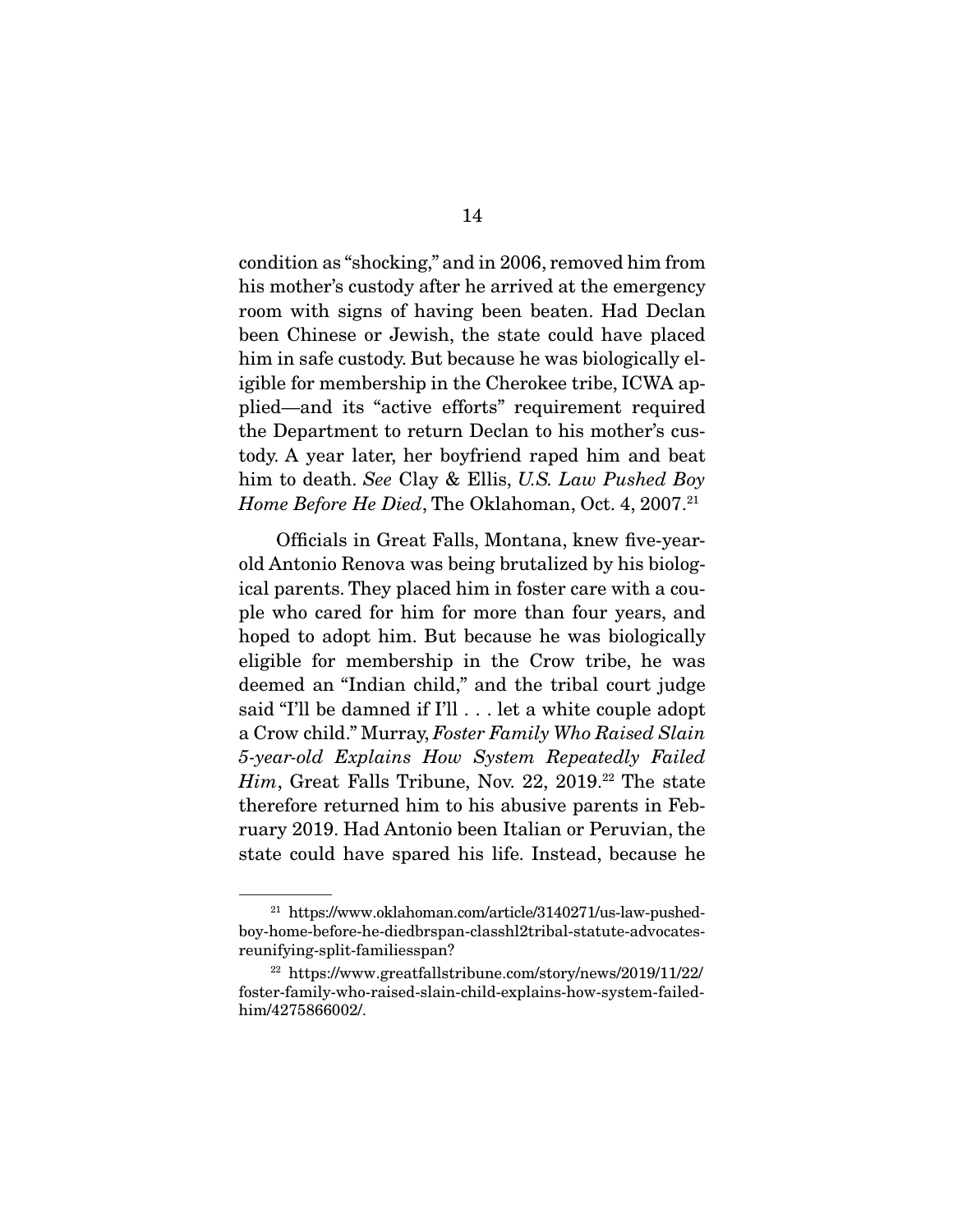condition as "shocking," and in 2006, removed him from his mother's custody after he arrived at the emergency room with signs of having been beaten. Had Declan been Chinese or Jewish, the state could have placed him in safe custody. But because he was biologically eligible for membership in the Cherokee tribe, ICWA applied—and its "active efforts" requirement required the Department to return Declan to his mother's custody. A year later, her boyfriend raped him and beat him to death. *See* Clay & Ellis, *U.S. Law Pushed Boy Home Before He Died*, The Oklahoman, Oct. 4, 2007.<sup>21</sup>

 Officials in Great Falls, Montana, knew five-yearold Antonio Renova was being brutalized by his biological parents. They placed him in foster care with a couple who cared for him for more than four years, and hoped to adopt him. But because he was biologically eligible for membership in the Crow tribe, he was deemed an "Indian child," and the tribal court judge said "I'll be damned if I'll . . . let a white couple adopt a Crow child." Murray, *Foster Family Who Raised Slain 5-year-old Explains How System Repeatedly Failed Him*, Great Falls Tribune, Nov. 22, 2019.<sup>22</sup> The state therefore returned him to his abusive parents in February 2019. Had Antonio been Italian or Peruvian, the state could have spared his life. Instead, because he

<sup>21</sup> https://www.oklahoman.com/article/3140271/us-law-pushedboy-home-before-he-diedbrspan-classhl2tribal-statute-advocatesreunifying-split-familiesspan?

<sup>22</sup> https://www.greatfallstribune.com/story/news/2019/11/22/ foster-family-who-raised-slain-child-explains-how-system-failedhim/4275866002/.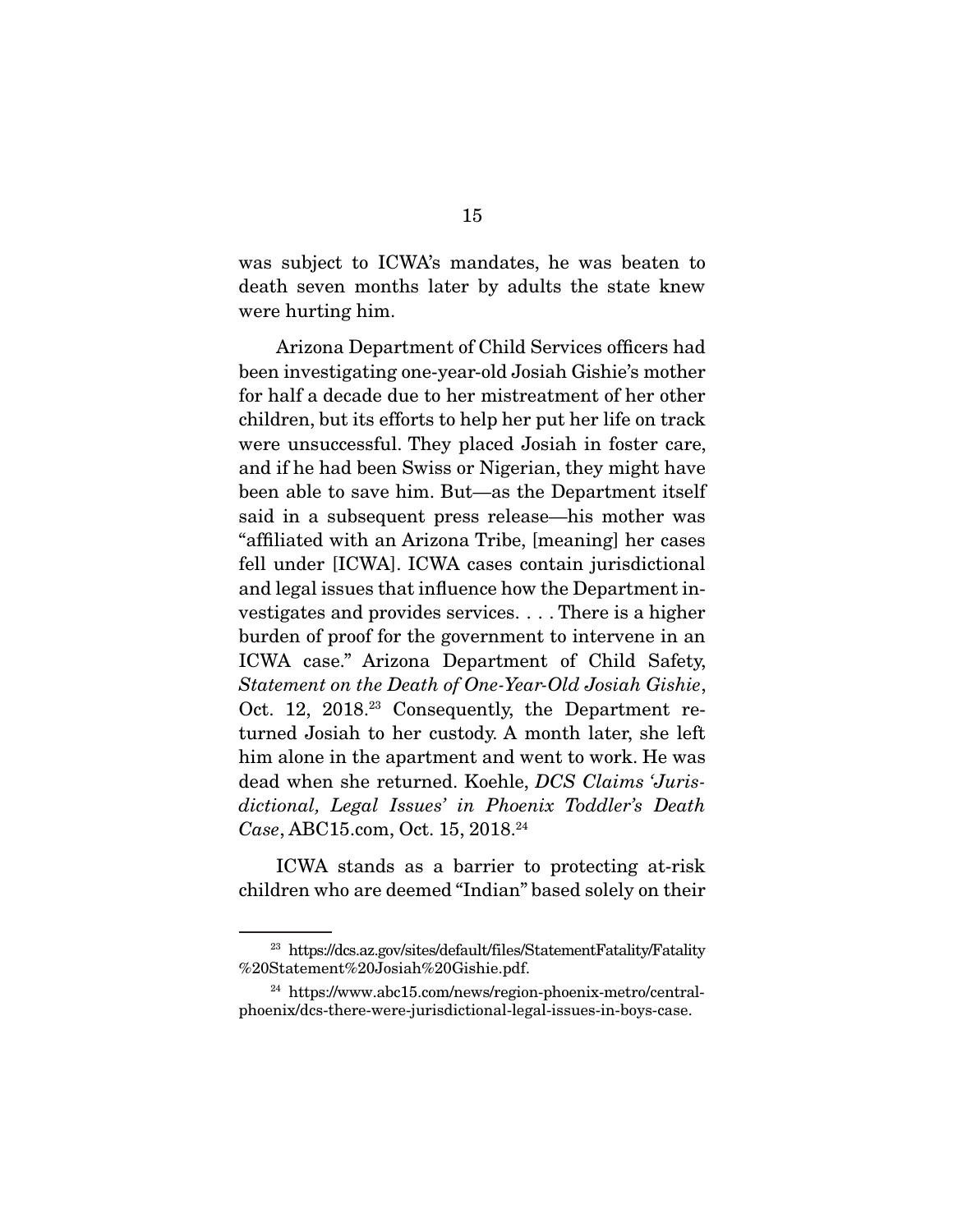was subject to ICWA's mandates, he was beaten to death seven months later by adults the state knew were hurting him.

 Arizona Department of Child Services officers had been investigating one-year-old Josiah Gishie's mother for half a decade due to her mistreatment of her other children, but its efforts to help her put her life on track were unsuccessful. They placed Josiah in foster care, and if he had been Swiss or Nigerian, they might have been able to save him. But—as the Department itself said in a subsequent press release—his mother was "affiliated with an Arizona Tribe, [meaning] her cases fell under [ICWA]. ICWA cases contain jurisdictional and legal issues that influence how the Department investigates and provides services. . . . There is a higher burden of proof for the government to intervene in an ICWA case." Arizona Department of Child Safety, *Statement on the Death of One-Year-Old Josiah Gishie*, Oct. 12, 2018.<sup>23</sup> Consequently, the Department returned Josiah to her custody. A month later, she left him alone in the apartment and went to work. He was dead when she returned. Koehle, *DCS Claims 'Jurisdictional, Legal Issues' in Phoenix Toddler's Death Case*, ABC15.com, Oct. 15, 2018.24

 ICWA stands as a barrier to protecting at-risk children who are deemed "Indian" based solely on their

<sup>23</sup> https://dcs.az.gov/sites/default/files/StatementFatality/Fatality %20Statement%20Josiah%20Gishie.pdf.

<sup>24</sup> https://www.abc15.com/news/region-phoenix-metro/centralphoenix/dcs-there-were-jurisdictional-legal-issues-in-boys-case.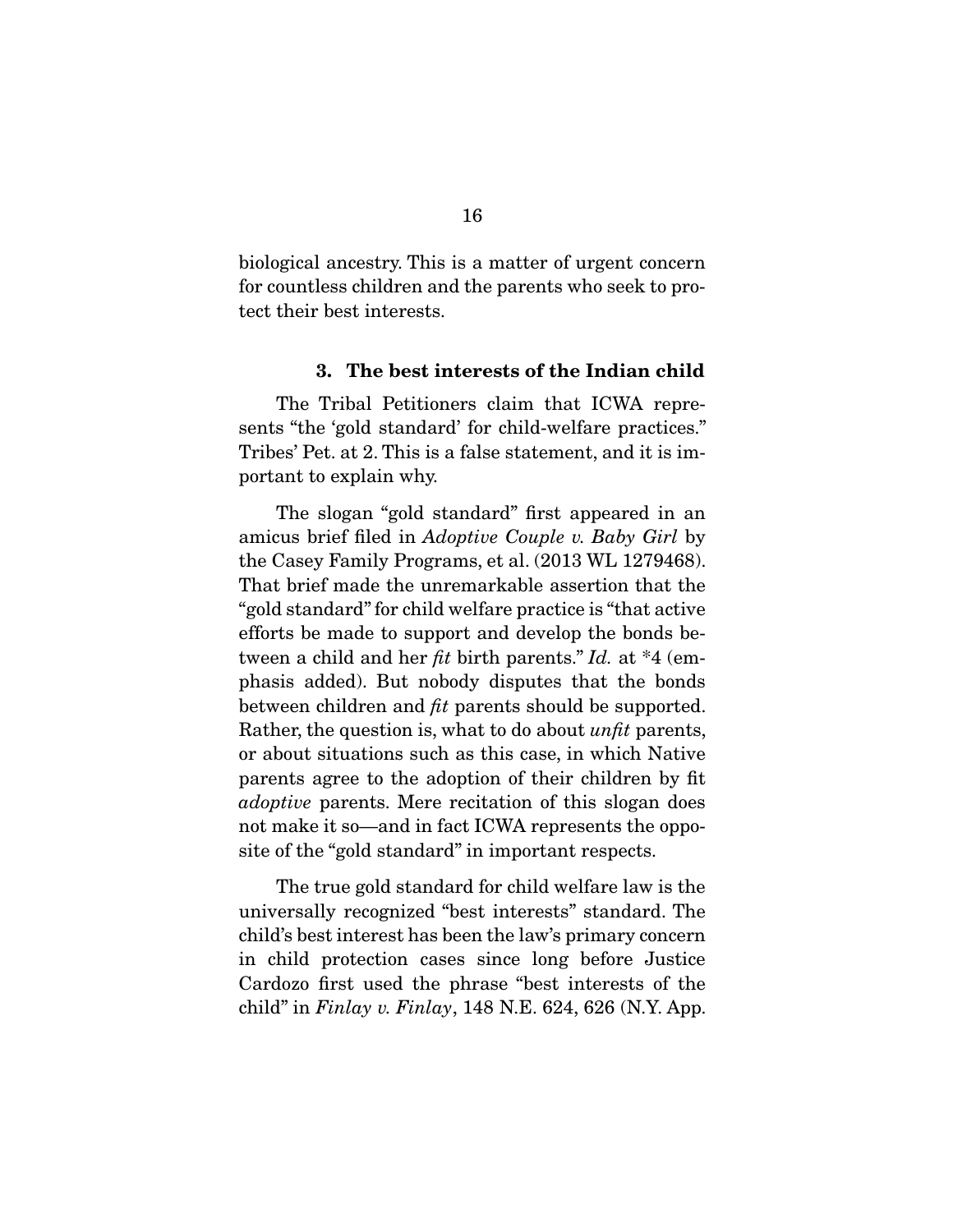biological ancestry. This is a matter of urgent concern for countless children and the parents who seek to protect their best interests.

#### **3. The best interests of the Indian child**

 The Tribal Petitioners claim that ICWA represents "the 'gold standard' for child-welfare practices." Tribes' Pet. at 2. This is a false statement, and it is important to explain why.

 The slogan "gold standard" first appeared in an amicus brief filed in *Adoptive Couple v. Baby Girl* by the Casey Family Programs, et al. (2013 WL 1279468). That brief made the unremarkable assertion that the "gold standard" for child welfare practice is "that active efforts be made to support and develop the bonds between a child and her *fit* birth parents." *Id.* at \*4 (emphasis added). But nobody disputes that the bonds between children and *fit* parents should be supported. Rather, the question is, what to do about *unfit* parents, or about situations such as this case, in which Native parents agree to the adoption of their children by fit *adoptive* parents. Mere recitation of this slogan does not make it so—and in fact ICWA represents the opposite of the "gold standard" in important respects.

 The true gold standard for child welfare law is the universally recognized "best interests" standard. The child's best interest has been the law's primary concern in child protection cases since long before Justice Cardozo first used the phrase "best interests of the child" in *Finlay v. Finlay*, 148 N.E. 624, 626 (N.Y. App.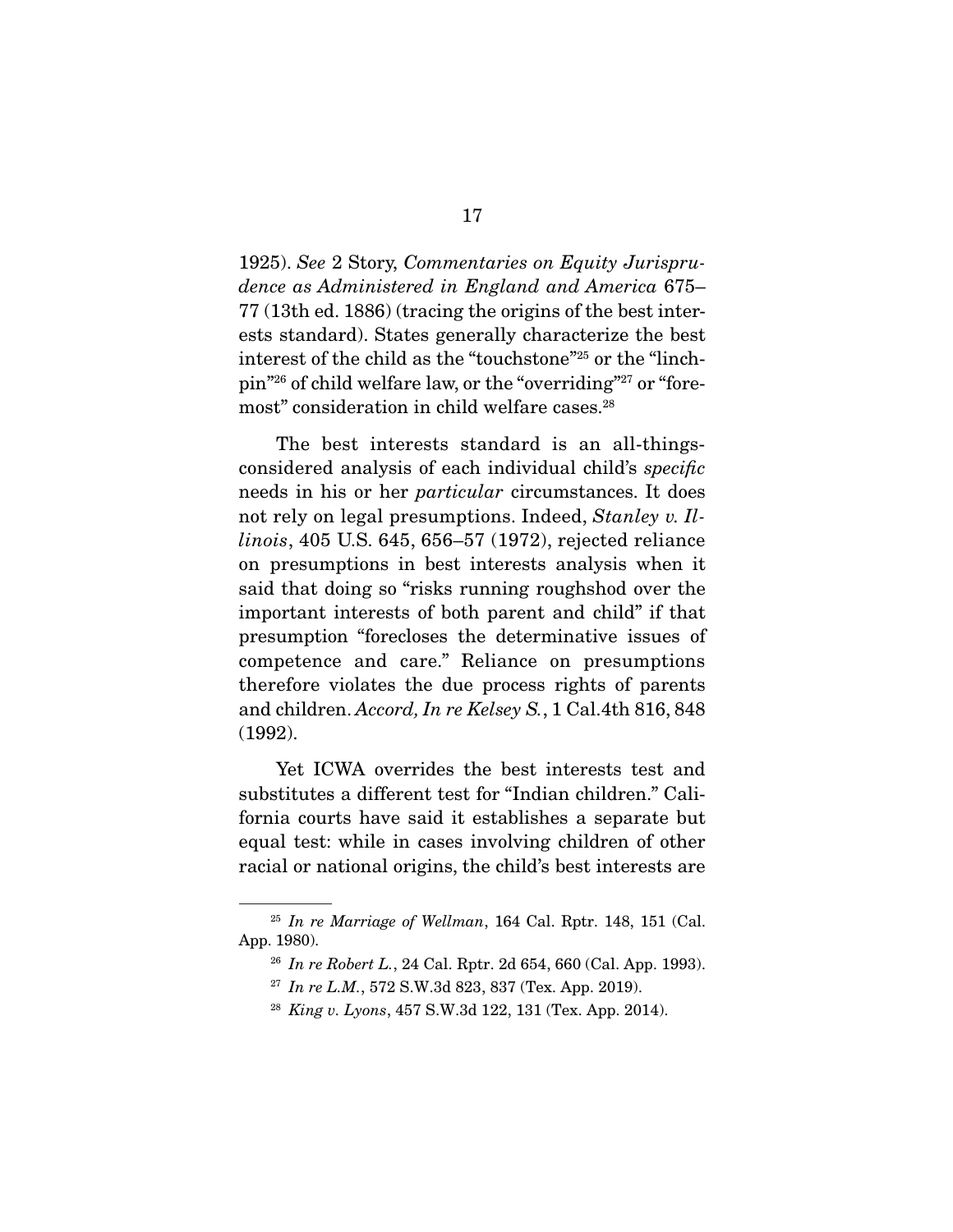1925). *See* 2 Story, *Commentaries on Equity Jurisprudence as Administered in England and America* 675– 77 (13th ed. 1886) (tracing the origins of the best interests standard). States generally characterize the best interest of the child as the "touchstone"25 or the "linchpin"26 of child welfare law, or the "overriding"27 or "foremost" consideration in child welfare cases.28

 The best interests standard is an all-thingsconsidered analysis of each individual child's *specific*  needs in his or her *particular* circumstances. It does not rely on legal presumptions. Indeed, *Stanley v. Illinois*, 405 U.S. 645, 656–57 (1972), rejected reliance on presumptions in best interests analysis when it said that doing so "risks running roughshod over the important interests of both parent and child" if that presumption "forecloses the determinative issues of competence and care." Reliance on presumptions therefore violates the due process rights of parents and children. *Accord, In re Kelsey S.*, 1 Cal.4th 816, 848 (1992).

 Yet ICWA overrides the best interests test and substitutes a different test for "Indian children." California courts have said it establishes a separate but equal test: while in cases involving children of other racial or national origins, the child's best interests are

<sup>25</sup> *In re Marriage of Wellman*, 164 Cal. Rptr. 148, 151 (Cal. App. 1980).

<sup>26</sup> *In re Robert L.*, 24 Cal. Rptr. 2d 654, 660 (Cal. App. 1993).

<sup>&</sup>lt;sup>27</sup> *In re L.M.*, 572 S.W.3d 823, 837 (Tex. App. 2019).

<sup>28</sup> *King v. Lyons*, 457 S.W.3d 122, 131 (Tex. App. 2014).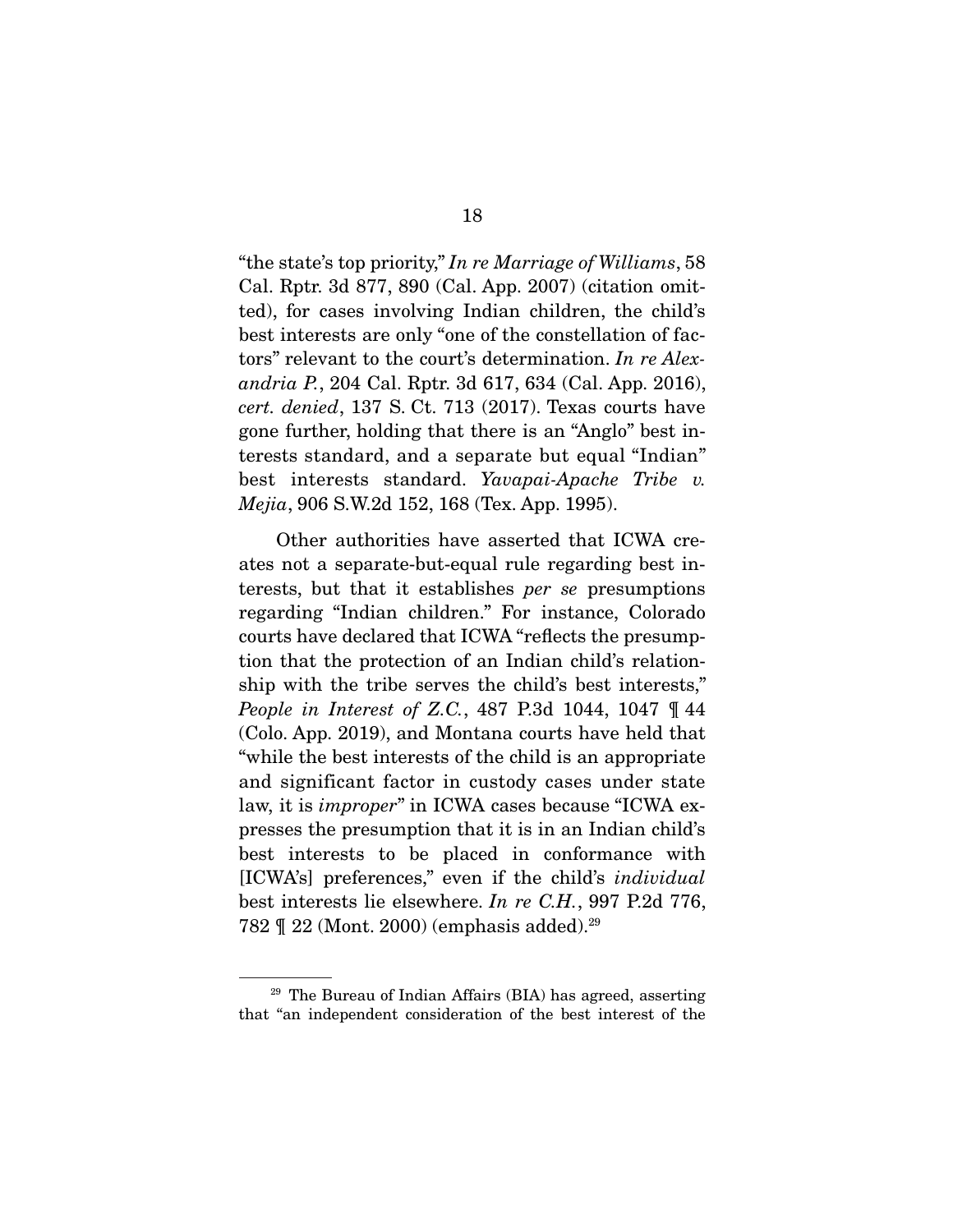"the state's top priority," *In re Marriage of Williams*, 58 Cal. Rptr. 3d 877, 890 (Cal. App. 2007) (citation omitted), for cases involving Indian children, the child's best interests are only "one of the constellation of factors" relevant to the court's determination. *In re Alexandria P.*, 204 Cal. Rptr. 3d 617, 634 (Cal. App. 2016), *cert. denied*, 137 S. Ct. 713 (2017). Texas courts have gone further, holding that there is an "Anglo" best interests standard, and a separate but equal "Indian" best interests standard. *Yavapai-Apache Tribe v. Mejia*, 906 S.W.2d 152, 168 (Tex. App. 1995).

 Other authorities have asserted that ICWA creates not a separate-but-equal rule regarding best interests, but that it establishes *per se* presumptions regarding "Indian children." For instance, Colorado courts have declared that ICWA "reflects the presumption that the protection of an Indian child's relationship with the tribe serves the child's best interests," *People in Interest of Z.C.*, 487 P.3d 1044, 1047 ¶ 44 (Colo. App. 2019), and Montana courts have held that "while the best interests of the child is an appropriate and significant factor in custody cases under state law, it is *improper*" in ICWA cases because "ICWA expresses the presumption that it is in an Indian child's best interests to be placed in conformance with [ICWA's] preferences," even if the child's *individual* best interests lie elsewhere. *In re C.H.*, 997 P.2d 776, 782 ¶ 22 (Mont. 2000) (emphasis added).29

<sup>29</sup> The Bureau of Indian Affairs (BIA) has agreed, asserting that "an independent consideration of the best interest of the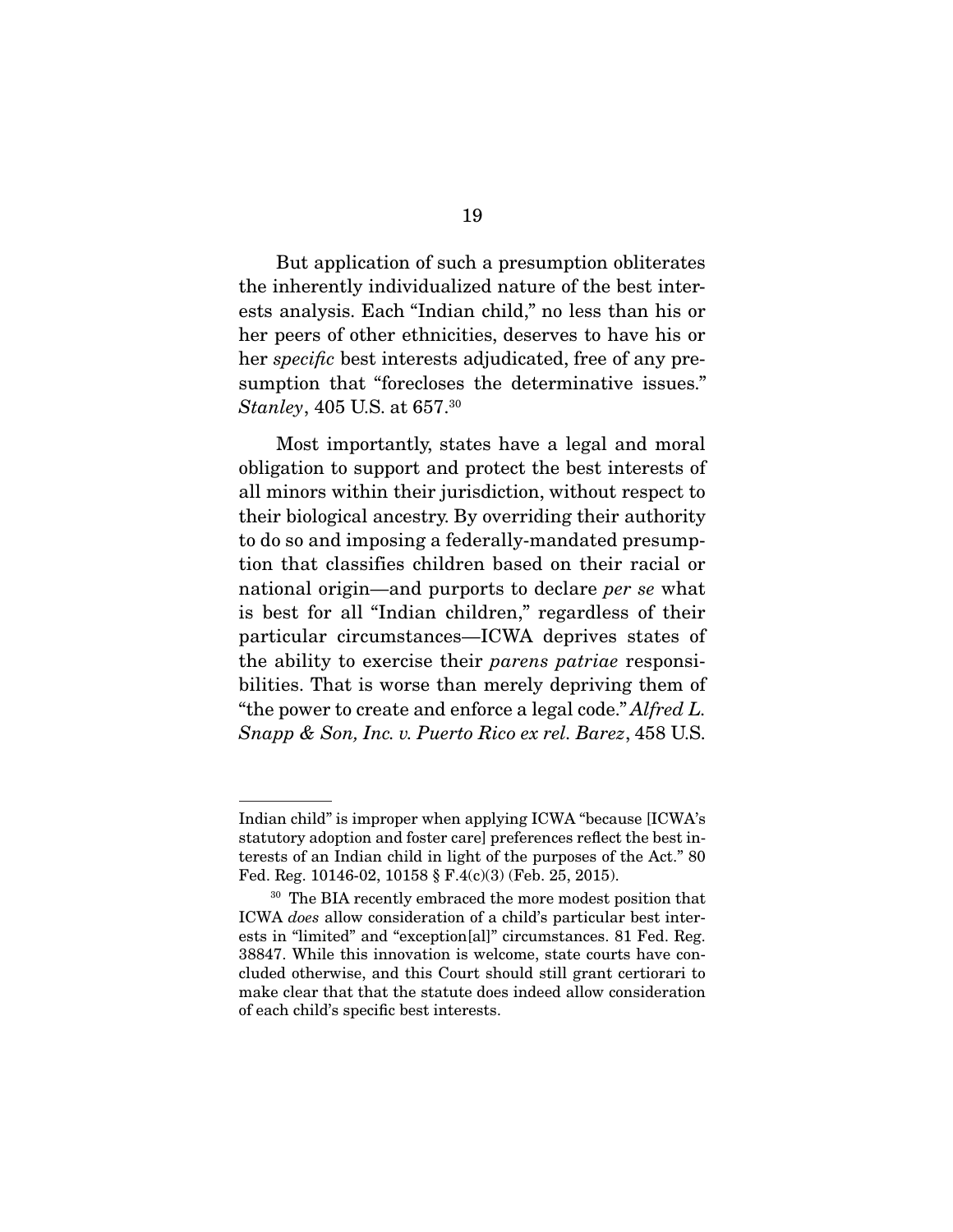But application of such a presumption obliterates the inherently individualized nature of the best interests analysis. Each "Indian child," no less than his or her peers of other ethnicities, deserves to have his or her *specific* best interests adjudicated, free of any presumption that "forecloses the determinative issues." *Stanley*, 405 U.S. at 657.30

 Most importantly, states have a legal and moral obligation to support and protect the best interests of all minors within their jurisdiction, without respect to their biological ancestry. By overriding their authority to do so and imposing a federally-mandated presumption that classifies children based on their racial or national origin—and purports to declare *per se* what is best for all "Indian children," regardless of their particular circumstances—ICWA deprives states of the ability to exercise their *parens patriae* responsibilities. That is worse than merely depriving them of "the power to create and enforce a legal code." *Alfred L. Snapp & Son, Inc. v. Puerto Rico ex rel. Barez*, 458 U.S.

Indian child" is improper when applying ICWA "because [ICWA's statutory adoption and foster care] preferences reflect the best interests of an Indian child in light of the purposes of the Act." 80 Fed. Reg. 10146-02, 10158 § F.4(c)(3) (Feb. 25, 2015).

<sup>&</sup>lt;sup>30</sup> The BIA recently embraced the more modest position that ICWA *does* allow consideration of a child's particular best interests in "limited" and "exception[al]" circumstances. 81 Fed. Reg. 38847. While this innovation is welcome, state courts have concluded otherwise, and this Court should still grant certiorari to make clear that that the statute does indeed allow consideration of each child's specific best interests.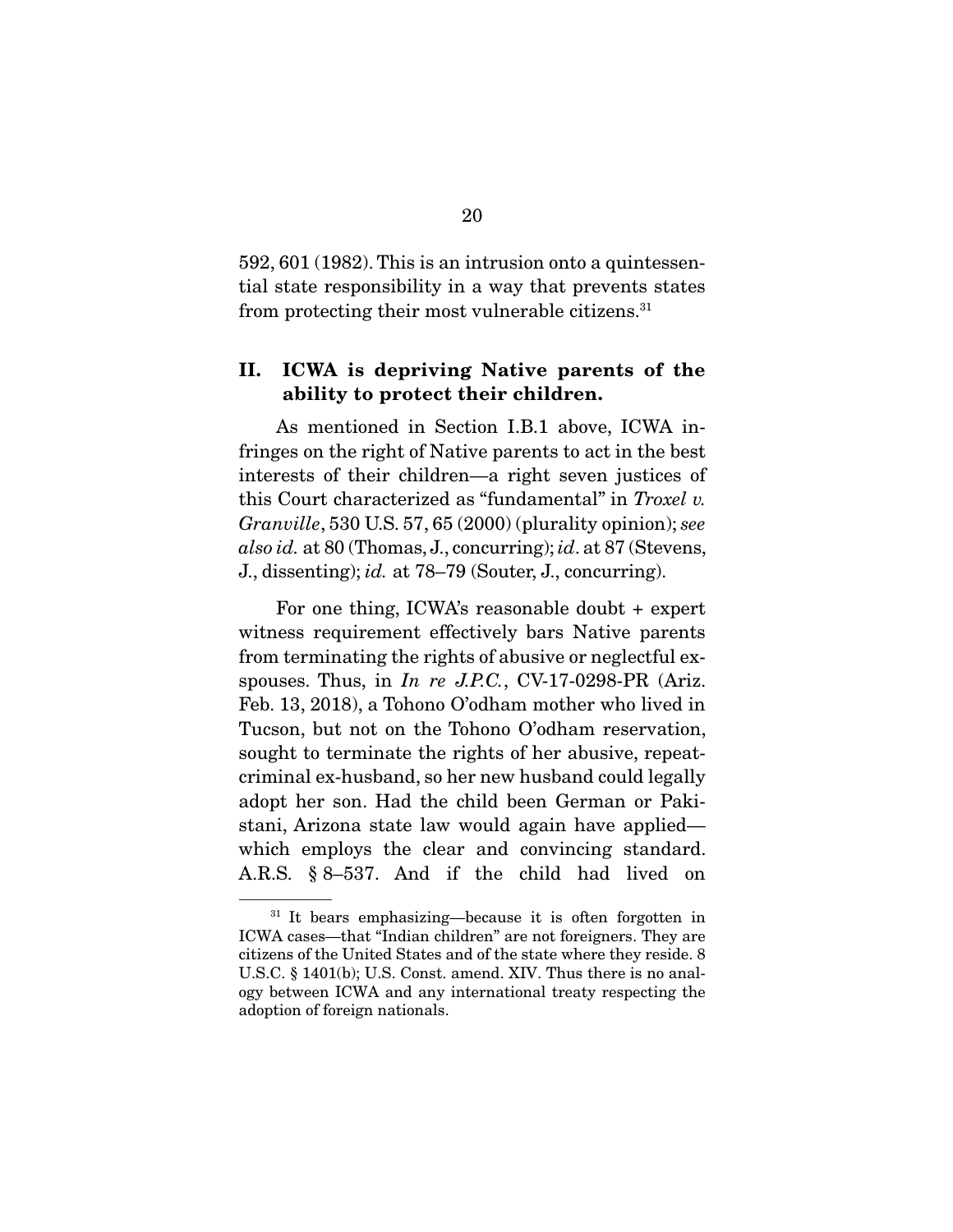592, 601 (1982). This is an intrusion onto a quintessential state responsibility in a way that prevents states from protecting their most vulnerable citizens.31

#### **II. ICWA is depriving Native parents of the ability to protect their children.**

As mentioned in Section I.B.1 above, ICWA infringes on the right of Native parents to act in the best interests of their children—a right seven justices of this Court characterized as "fundamental" in *Troxel v. Granville*, 530 U.S. 57, 65 (2000) (plurality opinion); *see also id.* at 80 (Thomas, J., concurring); *id*. at 87 (Stevens, J., dissenting); *id.* at 78–79 (Souter, J., concurring).

 For one thing, ICWA's reasonable doubt + expert witness requirement effectively bars Native parents from terminating the rights of abusive or neglectful exspouses. Thus, in *In re J.P.C.*, CV-17-0298-PR (Ariz. Feb. 13, 2018), a Tohono O'odham mother who lived in Tucson, but not on the Tohono O'odham reservation, sought to terminate the rights of her abusive, repeatcriminal ex-husband, so her new husband could legally adopt her son. Had the child been German or Pakistani, Arizona state law would again have applied which employs the clear and convincing standard. A.R.S. § 8–537. And if the child had lived on

<sup>&</sup>lt;sup>31</sup> It bears emphasizing—because it is often forgotten in ICWA cases—that "Indian children" are not foreigners. They are citizens of the United States and of the state where they reside. 8 U.S.C. § 1401(b); U.S. Const. amend. XIV. Thus there is no analogy between ICWA and any international treaty respecting the adoption of foreign nationals.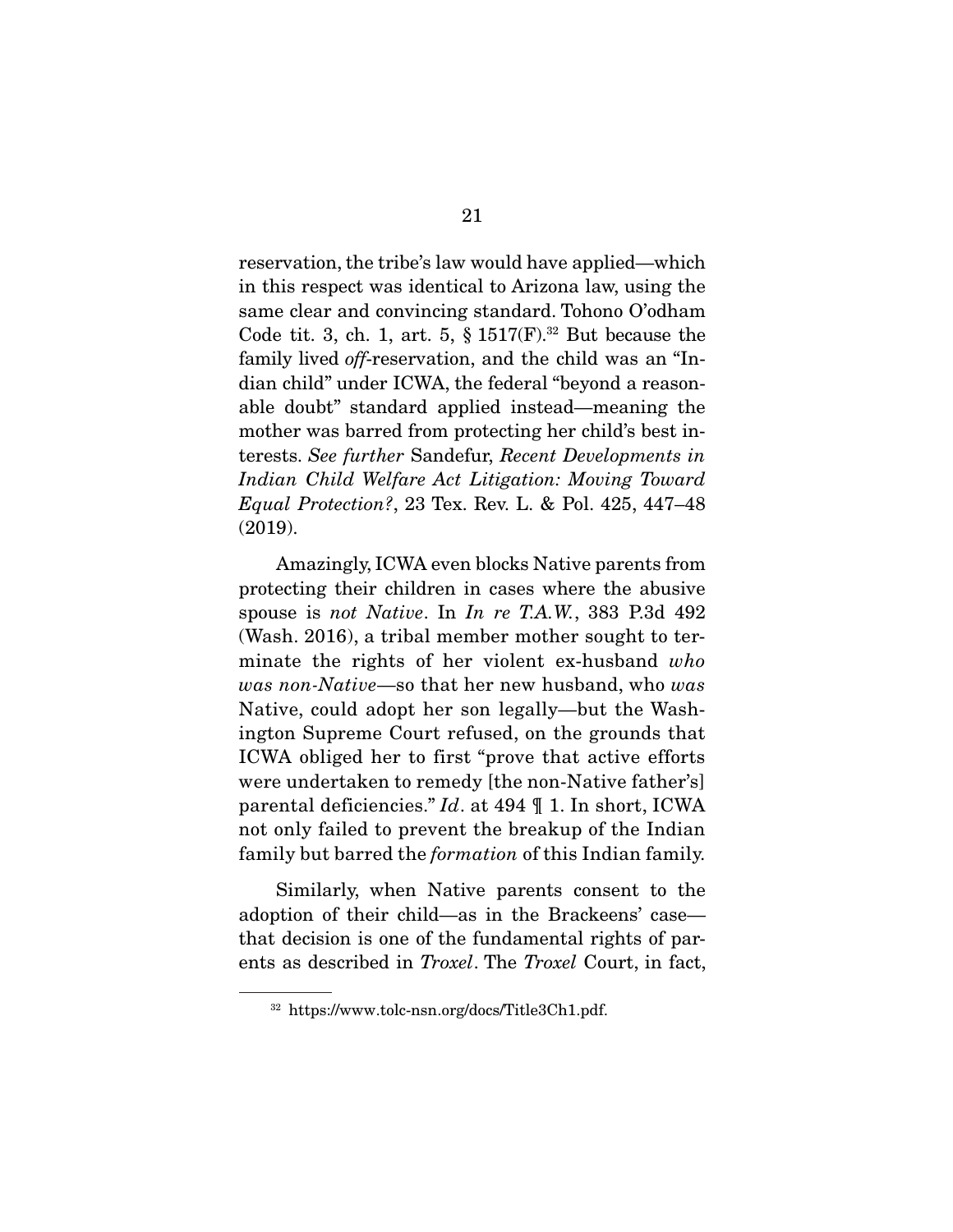reservation, the tribe's law would have applied—which in this respect was identical to Arizona law, using the same clear and convincing standard. Tohono O'odham Code tit. 3, ch. 1, art. 5,  $\S 1517(F).^{32}$  But because the family lived *off*-reservation, and the child was an "Indian child" under ICWA, the federal "beyond a reasonable doubt" standard applied instead—meaning the mother was barred from protecting her child's best interests. *See further* Sandefur, *Recent Developments in Indian Child Welfare Act Litigation: Moving Toward Equal Protection?*, 23 Tex. Rev. L. & Pol. 425, 447–48 (2019).

 Amazingly, ICWA even blocks Native parents from protecting their children in cases where the abusive spouse is *not Native*. In *In re T.A.W.*, 383 P.3d 492 (Wash. 2016), a tribal member mother sought to terminate the rights of her violent ex-husband *who was non-Native*—so that her new husband, who *was*  Native, could adopt her son legally—but the Washington Supreme Court refused, on the grounds that ICWA obliged her to first "prove that active efforts were undertaken to remedy [the non-Native father's] parental deficiencies." *Id*. at 494 ¶ 1. In short, ICWA not only failed to prevent the breakup of the Indian family but barred the *formation* of this Indian family.

 Similarly, when Native parents consent to the adoption of their child—as in the Brackeens' case that decision is one of the fundamental rights of parents as described in *Troxel*. The *Troxel* Court, in fact,

<sup>32</sup> https://www.tolc-nsn.org/docs/Title3Ch1.pdf.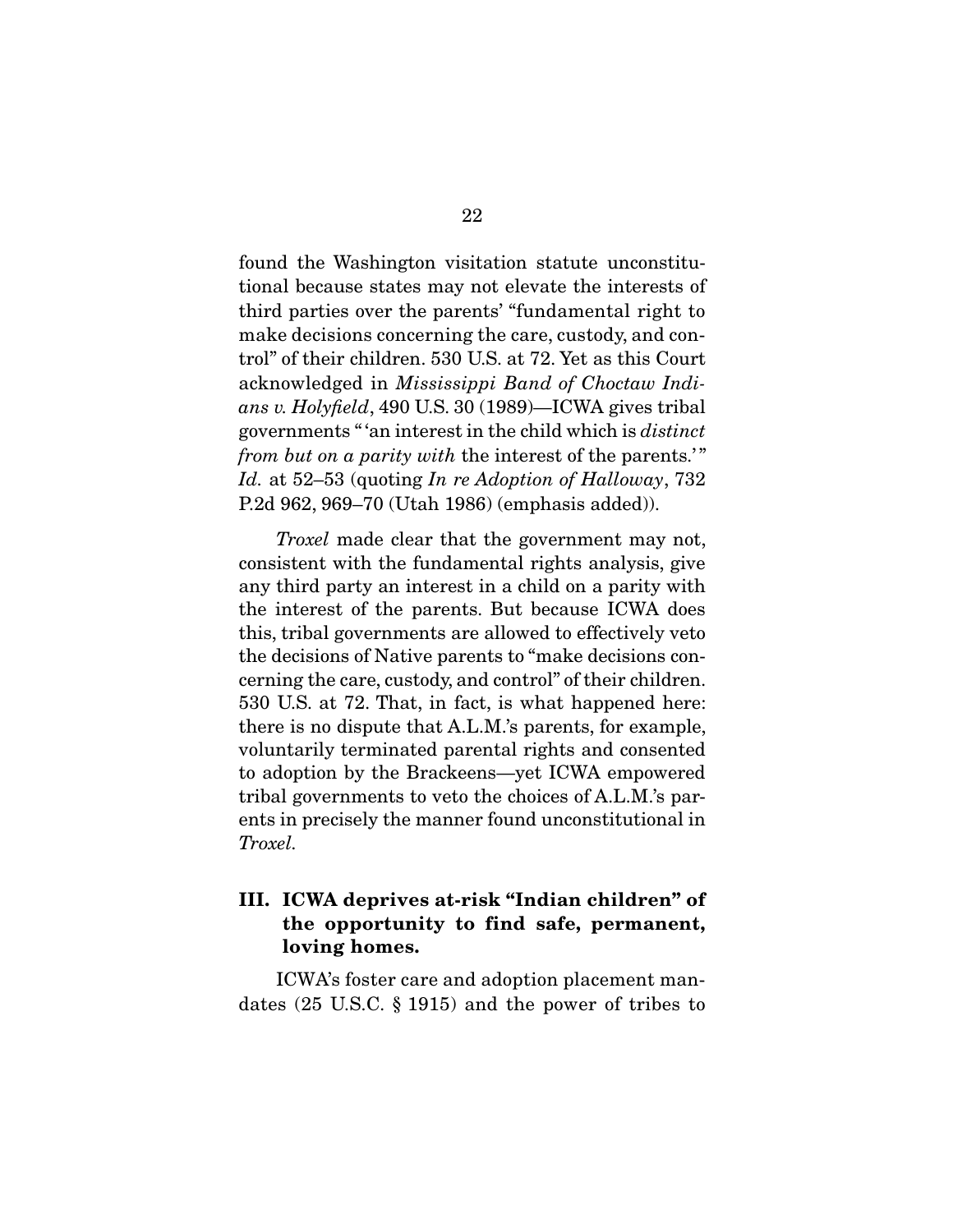found the Washington visitation statute unconstitutional because states may not elevate the interests of third parties over the parents' "fundamental right to make decisions concerning the care, custody, and control" of their children. 530 U.S. at 72. Yet as this Court acknowledged in *Mississippi Band of Choctaw Indians v. Holyfield*, 490 U.S. 30 (1989)—ICWA gives tribal governments " 'an interest in the child which is *distinct from but on a parity with the interest of the parents.*" *Id.* at 52–53 (quoting *In re Adoption of Halloway*, 732 P.2d 962, 969–70 (Utah 1986) (emphasis added)).

*Troxel* made clear that the government may not, consistent with the fundamental rights analysis, give any third party an interest in a child on a parity with the interest of the parents. But because ICWA does this, tribal governments are allowed to effectively veto the decisions of Native parents to "make decisions concerning the care, custody, and control" of their children. 530 U.S. at 72. That, in fact, is what happened here: there is no dispute that A.L.M.'s parents, for example, voluntarily terminated parental rights and consented to adoption by the Brackeens—yet ICWA empowered tribal governments to veto the choices of A.L.M.'s parents in precisely the manner found unconstitutional in *Troxel.* 

### **III. ICWA deprives at-risk "Indian children" of the opportunity to find safe, permanent, loving homes.**

ICWA's foster care and adoption placement mandates (25 U.S.C. § 1915) and the power of tribes to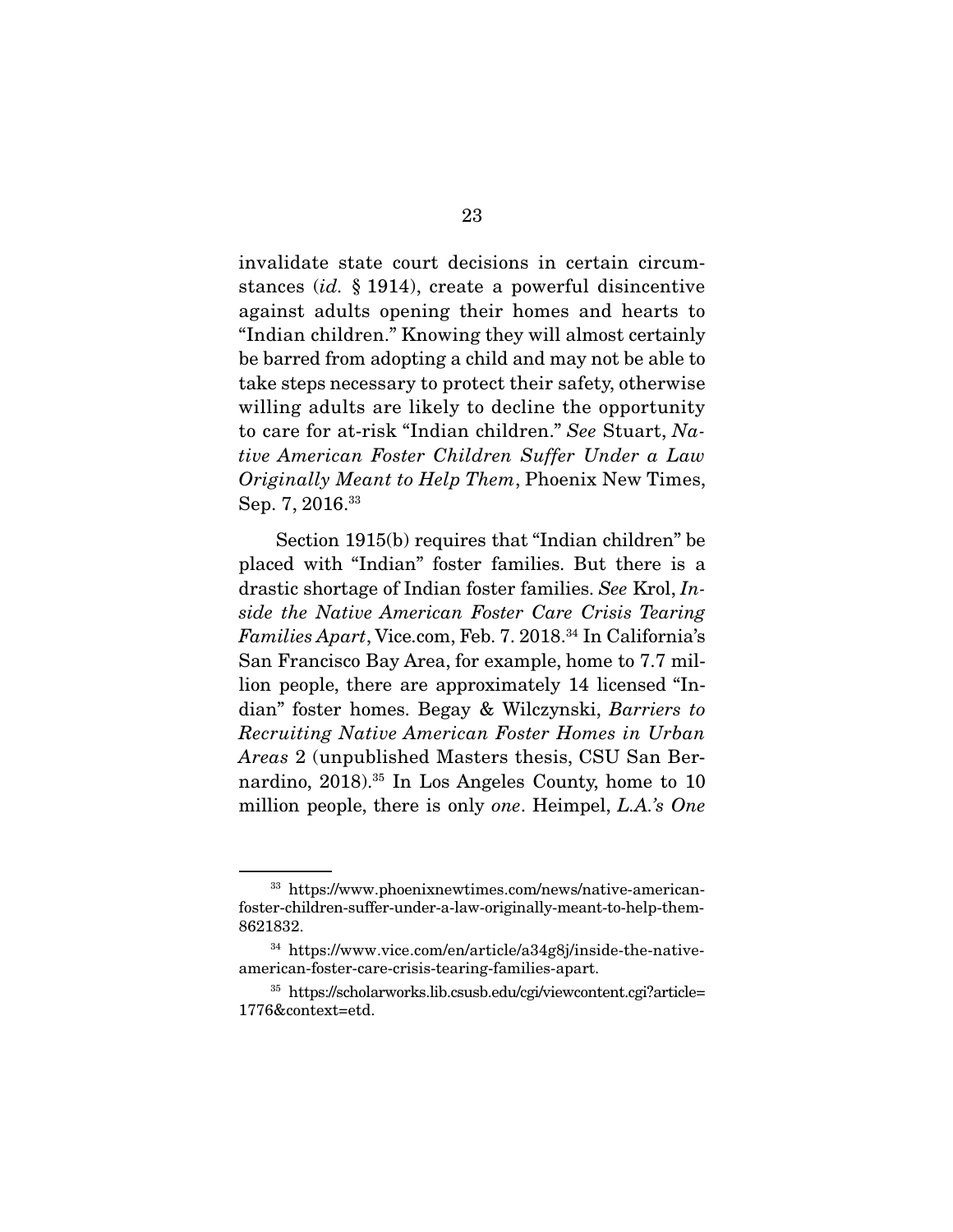invalidate state court decisions in certain circumstances (*id.* § 1914), create a powerful disincentive against adults opening their homes and hearts to "Indian children." Knowing they will almost certainly be barred from adopting a child and may not be able to take steps necessary to protect their safety, otherwise willing adults are likely to decline the opportunity to care for at-risk "Indian children." *See* Stuart, *Native American Foster Children Suffer Under a Law Originally Meant to Help Them*, Phoenix New Times, Sep. 7, 2016.<sup>33</sup>

 Section 1915(b) requires that "Indian children" be placed with "Indian" foster families. But there is a drastic shortage of Indian foster families. *See* Krol, *Inside the Native American Foster Care Crisis Tearing Families Apart*, Vice.com, Feb. 7. 2018.34 In California's San Francisco Bay Area, for example, home to 7.7 million people, there are approximately 14 licensed "Indian" foster homes. Begay & Wilczynski, *Barriers to Recruiting Native American Foster Homes in Urban Areas* 2 (unpublished Masters thesis, CSU San Bernardino, 2018).35 In Los Angeles County, home to 10 million people, there is only *one*. Heimpel, *L.A.'s One* 

<sup>33</sup> https://www.phoenixnewtimes.com/news/native-americanfoster-children-suffer-under-a-law-originally-meant-to-help-them-8621832.

<sup>34</sup> https://www.vice.com/en/article/a34g8j/inside-the-nativeamerican-foster-care-crisis-tearing-families-apart.

<sup>35</sup> https://scholarworks.lib.csusb.edu/cgi/viewcontent.cgi?article= 1776&context=etd.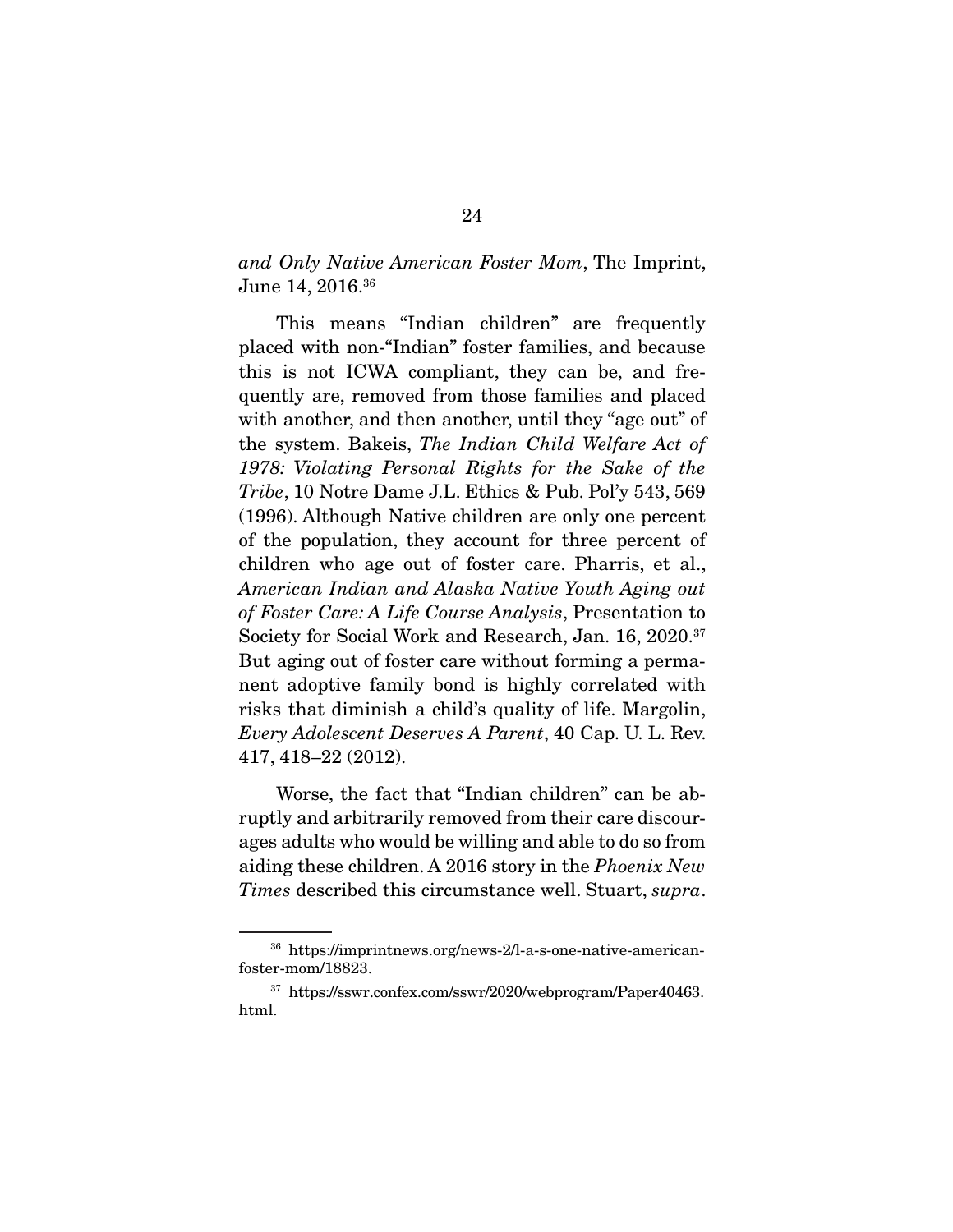*and Only Native American Foster Mom*, The Imprint, June 14, 2016.36

 This means "Indian children" are frequently placed with non-"Indian" foster families, and because this is not ICWA compliant, they can be, and frequently are, removed from those families and placed with another, and then another, until they "age out" of the system. Bakeis, *The Indian Child Welfare Act of 1978: Violating Personal Rights for the Sake of the Tribe*, 10 Notre Dame J.L. Ethics & Pub. Pol'y 543, 569 (1996). Although Native children are only one percent of the population, they account for three percent of children who age out of foster care. Pharris, et al., *American Indian and Alaska Native Youth Aging out of Foster Care: A Life Course Analysis*, Presentation to Society for Social Work and Research, Jan. 16, 2020.<sup>37</sup> But aging out of foster care without forming a permanent adoptive family bond is highly correlated with risks that diminish a child's quality of life. Margolin, *Every Adolescent Deserves A Parent*, 40 Cap. U. L. Rev. 417, 418–22 (2012).

 Worse, the fact that "Indian children" can be abruptly and arbitrarily removed from their care discourages adults who would be willing and able to do so from aiding these children. A 2016 story in the *Phoenix New Times* described this circumstance well. Stuart, *supra*.

<sup>36</sup> https://imprintnews.org/news-2/l-a-s-one-native-americanfoster-mom/18823.

<sup>37</sup> https://sswr.confex.com/sswr/2020/webprogram/Paper40463. html.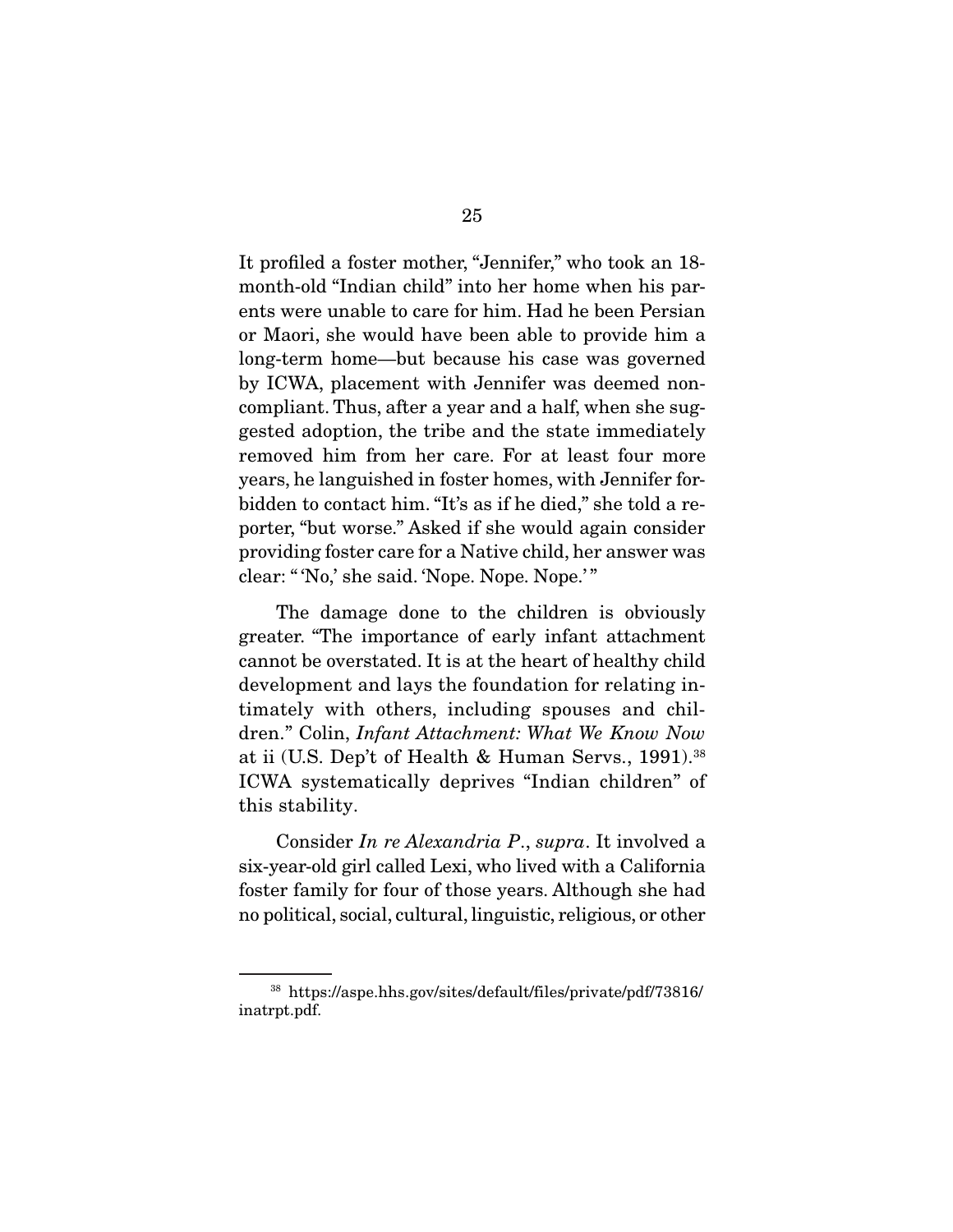It profiled a foster mother, "Jennifer," who took an 18 month-old "Indian child" into her home when his parents were unable to care for him. Had he been Persian or Maori, she would have been able to provide him a long-term home—but because his case was governed by ICWA, placement with Jennifer was deemed noncompliant. Thus, after a year and a half, when she suggested adoption, the tribe and the state immediately removed him from her care. For at least four more years, he languished in foster homes, with Jennifer forbidden to contact him. "It's as if he died," she told a reporter, "but worse." Asked if she would again consider providing foster care for a Native child, her answer was clear: " 'No,' she said. 'Nope. Nope. Nope.' "

 The damage done to the children is obviously greater. "The importance of early infant attachment cannot be overstated. It is at the heart of healthy child development and lays the foundation for relating intimately with others, including spouses and children." Colin, *Infant Attachment: What We Know Now* at ii (U.S. Dep't of Health & Human Servs., 1991).<sup>38</sup> ICWA systematically deprives "Indian children" of this stability.

 Consider *In re Alexandria P*., *supra*. It involved a six-year-old girl called Lexi, who lived with a California foster family for four of those years. Although she had no political, social, cultural, linguistic, religious, or other

<sup>38</sup> https://aspe.hhs.gov/sites/default/files/private/pdf/73816/ inatrpt.pdf.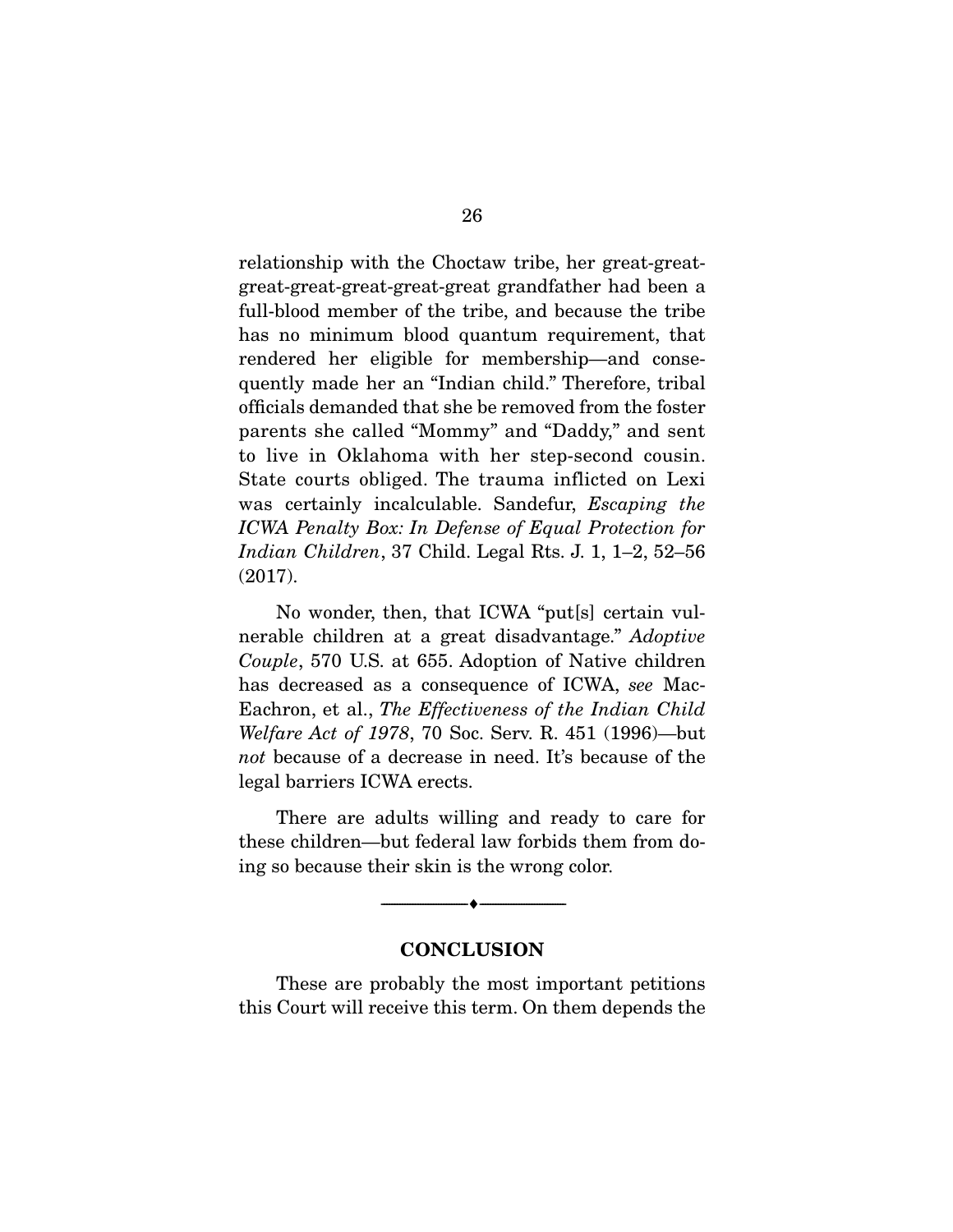relationship with the Choctaw tribe, her great-greatgreat-great-great-great-great grandfather had been a full-blood member of the tribe, and because the tribe has no minimum blood quantum requirement, that rendered her eligible for membership—and consequently made her an "Indian child." Therefore, tribal officials demanded that she be removed from the foster parents she called "Mommy" and "Daddy," and sent to live in Oklahoma with her step-second cousin. State courts obliged. The trauma inflicted on Lexi was certainly incalculable. Sandefur, *Escaping the ICWA Penalty Box: In Defense of Equal Protection for Indian Children*, 37 Child. Legal Rts. J. 1, 1–2, 52–56 (2017).

 No wonder, then, that ICWA "put[s] certain vulnerable children at a great disadvantage." *Adoptive Couple*, 570 U.S. at 655. Adoption of Native children has decreased as a consequence of ICWA, *see* Mac-Eachron, et al., *The Effectiveness of the Indian Child Welfare Act of 1978*, 70 Soc. Serv. R. 451 (1996)—but *not* because of a decrease in need. It's because of the legal barriers ICWA erects.

 There are adults willing and ready to care for these children—but federal law forbids them from doing so because their skin is the wrong color.

#### **CONCLUSION**

 $-\bullet-\$ 

These are probably the most important petitions this Court will receive this term. On them depends the